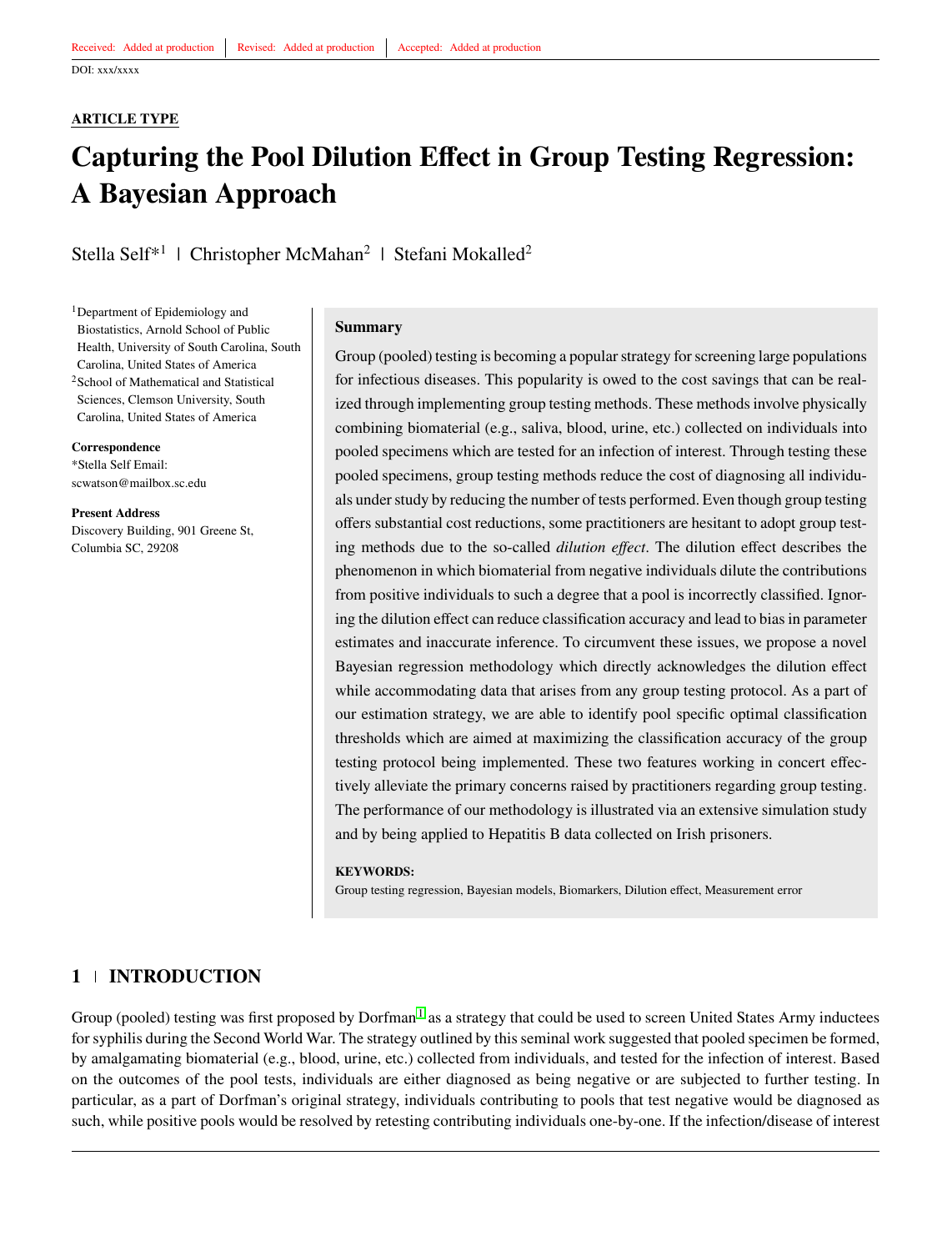#### **ARTICLE TYPE**

# **Capturing the Pool Dilution Effect in Group Testing Regression: A Bayesian Approach**

Stella Self<sup>\*1</sup> | Christopher McMahan<sup>2</sup> | Stefani Mokalled<sup>2</sup>

<sup>1</sup>Department of Epidemiology and Biostatistics, Arnold School of Public Health, University of South Carolina, South Carolina, United States of America <sup>2</sup>School of Mathematical and Statistical Sciences, Clemson University, South Carolina, United States of America

**Correspondence** \*Stella Self Email: scwatson@mailbox.sc.edu

**Present Address** Discovery Building, 901 Greene St, Columbia SC, 29208

#### **Summary**

Group (pooled) testing is becoming a popular strategy for screening large populations for infectious diseases. This popularity is owed to the cost savings that can be realized through implementing group testing methods. These methods involve physically combining biomaterial (e.g., saliva, blood, urine, etc.) collected on individuals into pooled specimens which are tested for an infection of interest. Through testing these pooled specimens, group testing methods reduce the cost of diagnosing all individuals under study by reducing the number of tests performed. Even though group testing offers substantial cost reductions, some practitioners are hesitant to adopt group testing methods due to the so-called *dilution effect*. The dilution effect describes the phenomenon in which biomaterial from negative individuals dilute the contributions from positive individuals to such a degree that a pool is incorrectly classified. Ignoring the dilution effect can reduce classification accuracy and lead to bias in parameter estimates and inaccurate inference. To circumvent these issues, we propose a novel Bayesian regression methodology which directly acknowledges the dilution effect while accommodating data that arises from any group testing protocol. As a part of our estimation strategy, we are able to identify pool specific optimal classification thresholds which are aimed at maximizing the classification accuracy of the group testing protocol being implemented. These two features working in concert effectively alleviate the primary concerns raised by practitioners regarding group testing. The performance of our methodology is illustrated via an extensive simulation study and by being applied to Hepatitis B data collected on Irish prisoners.

#### **KEYWORDS:**

Group testing regression, Bayesian models, Biomarkers, Dilution effect, Measurement error

# **1 INTRODUCTION**

Group (pooled) testing was first proposed by Dorfman<sup>[1](#page-11-0)</sup> as a strategy that could be used to screen United States Army inductees for syphilis during the Second World War. The strategy outlined by this seminal work suggested that pooled specimen be formed, by amalgamating biomaterial (e.g., blood, urine, etc.) collected from individuals, and tested for the infection of interest. Based on the outcomes of the pool tests, individuals are either diagnosed as being negative or are subjected to further testing. In particular, as a part of Dorfman's original strategy, individuals contributing to pools that test negative would be diagnosed as such, while positive pools would be resolved by retesting contributing individuals one-by-one. If the infection/disease of interest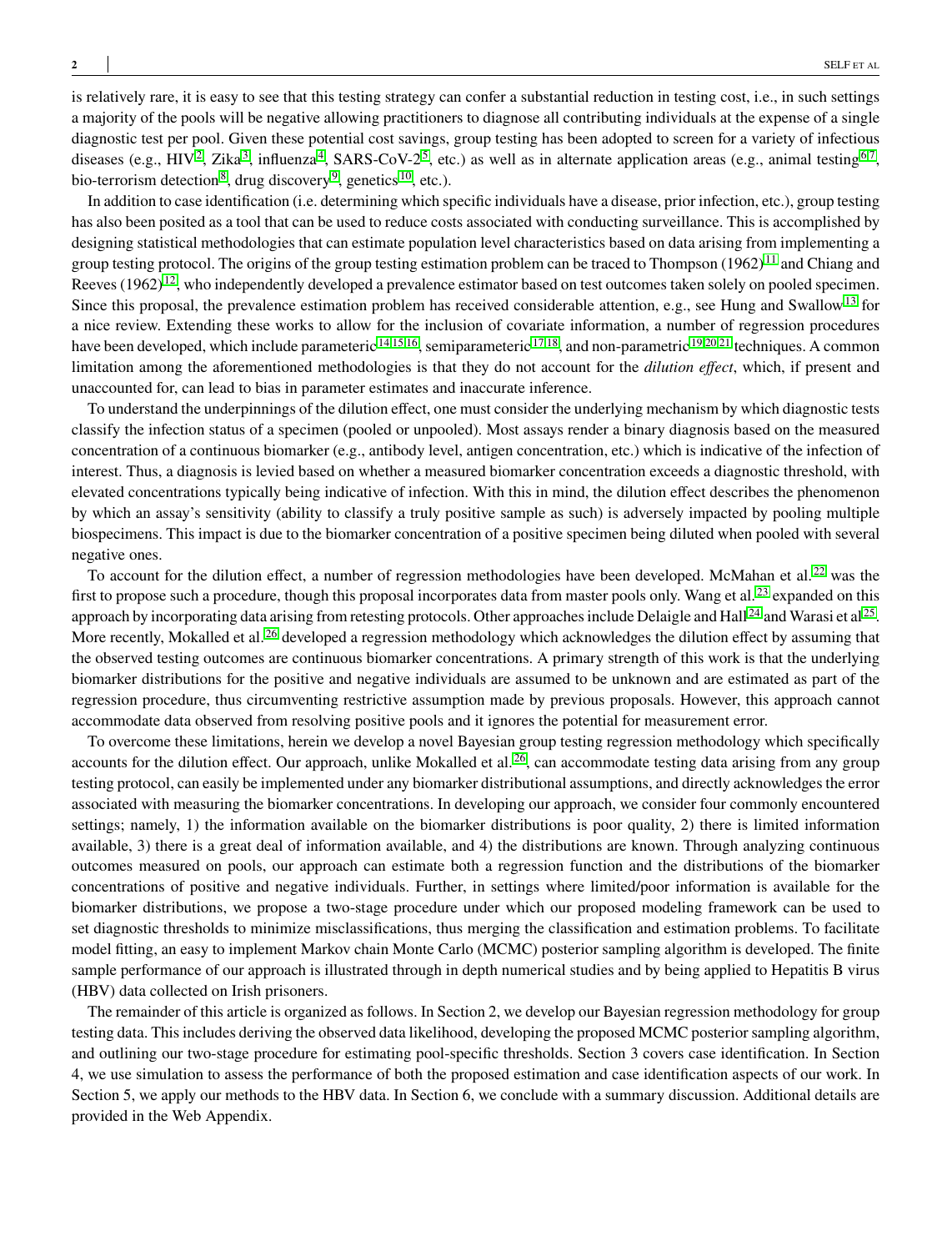is relatively rare, it is easy to see that this testing strategy can confer a substantial reduction in testing cost, i.e., in such settings a majority of the pools will be negative allowing practitioners to diagnose all contributing individuals at the expense of a single diagnostic test per pool. Given these potential cost savings, group testing has been adopted to screen for a variety of infectious diseases (e.g., HIV<sup>[2](#page-11-1)</sup>, Zika<sup>[3](#page-11-2)</sup>, influenza<sup>[4](#page-11-3)</sup>, SARS-CoV-2<sup>[5](#page-11-4)</sup>, etc.) as well as in alternate application areas (e.g., animal testing<sup>[6](#page-11-5)[,7](#page-11-6)</sup>, bio-terrorism detection<sup>[8](#page-11-7)</sup>, drug discovery<sup>[9](#page-11-8)</sup>, genetics<sup>[10](#page-11-9)</sup>, etc.).

In addition to case identification (i.e. determining which specific individuals have a disease, prior infection, etc.), group testing has also been posited as a tool that can be used to reduce costs associated with conducting surveillance. This is accomplished by designing statistical methodologies that can estimate population level characteristics based on data arising from implementing a group testing protocol. The origins of the group testing estimation problem can be traced to Thompson  $(1962)^{11}$  $(1962)^{11}$  $(1962)^{11}$  and Chiang and Reeves  $(1962)^{12}$  $(1962)^{12}$  $(1962)^{12}$ , who independently developed a prevalence estimator based on test outcomes taken solely on pooled specimen. Since this proposal, the prevalence estimation problem has received considerable attention, e.g., see Hung and Swallow<sup>[13](#page-12-1)</sup> for a nice review. Extending these works to allow for the inclusion of covariate information, a number of regression procedures have been developed, which include parameteric  $14,15,16$  $14,15,16$  $14,15,16$ , semiparameteric  $17,18$  $17,18$ , and non-parametric  $19,20,21$  $19,20,21$  $19,20,21$  techniques. A common limitation among the aforementioned methodologies is that they do not account for the *dilution effect*, which, if present and unaccounted for, can lead to bias in parameter estimates and inaccurate inference.

To understand the underpinnings of the dilution effect, one must consider the underlying mechanism by which diagnostic tests classify the infection status of a specimen (pooled or unpooled). Most assays render a binary diagnosis based on the measured concentration of a continuous biomarker (e.g., antibody level, antigen concentration, etc.) which is indicative of the infection of interest. Thus, a diagnosis is levied based on whether a measured biomarker concentration exceeds a diagnostic threshold, with elevated concentrations typically being indicative of infection. With this in mind, the dilution effect describes the phenomenon by which an assay's sensitivity (ability to classify a truly positive sample as such) is adversely impacted by pooling multiple biospecimens. This impact is due to the biomarker concentration of a positive specimen being diluted when pooled with several negative ones.

To account for the dilution effect, a number of regression methodologies have been developed. McMahan et al.<sup>[22](#page-12-10)</sup> was the first to propose such a procedure, though this proposal incorporates data from master pools only. Wang et al.<sup>[23](#page-12-11)</sup> expanded on this approach by incorporating data arising from retesting protocols. Other approaches include Delaigle and Hall  $^{24}$  $^{24}$  $^{24}$  and Warasi et al  $^{25}$  $^{25}$  $^{25}$ . More recently, Mokalled et al.<sup>[26](#page-12-14)</sup> developed a regression methodology which acknowledges the dilution effect by assuming that the observed testing outcomes are continuous biomarker concentrations. A primary strength of this work is that the underlying biomarker distributions for the positive and negative individuals are assumed to be unknown and are estimated as part of the regression procedure, thus circumventing restrictive assumption made by previous proposals. However, this approach cannot accommodate data observed from resolving positive pools and it ignores the potential for measurement error.

To overcome these limitations, herein we develop a novel Bayesian group testing regression methodology which specifically accounts for the dilution effect. Our approach, unlike Mokalled et al.  $^{26}$  $^{26}$  $^{26}$ , can accommodate testing data arising from any group testing protocol, can easily be implemented under any biomarker distributional assumptions, and directly acknowledges the error associated with measuring the biomarker concentrations. In developing our approach, we consider four commonly encountered settings; namely, 1) the information available on the biomarker distributions is poor quality, 2) there is limited information available, 3) there is a great deal of information available, and 4) the distributions are known. Through analyzing continuous outcomes measured on pools, our approach can estimate both a regression function and the distributions of the biomarker concentrations of positive and negative individuals. Further, in settings where limited/poor information is available for the biomarker distributions, we propose a two-stage procedure under which our proposed modeling framework can be used to set diagnostic thresholds to minimize misclassifications, thus merging the classification and estimation problems. To facilitate model fitting, an easy to implement Markov chain Monte Carlo (MCMC) posterior sampling algorithm is developed. The finite sample performance of our approach is illustrated through in depth numerical studies and by being applied to Hepatitis B virus (HBV) data collected on Irish prisoners.

The remainder of this article is organized as follows. In Section 2, we develop our Bayesian regression methodology for group testing data. This includes deriving the observed data likelihood, developing the proposed MCMC posterior sampling algorithm, and outlining our two-stage procedure for estimating pool-specific thresholds. Section 3 covers case identification. In Section 4, we use simulation to assess the performance of both the proposed estimation and case identification aspects of our work. In Section 5, we apply our methods to the HBV data. In Section 6, we conclude with a summary discussion. Additional details are provided in the Web Appendix.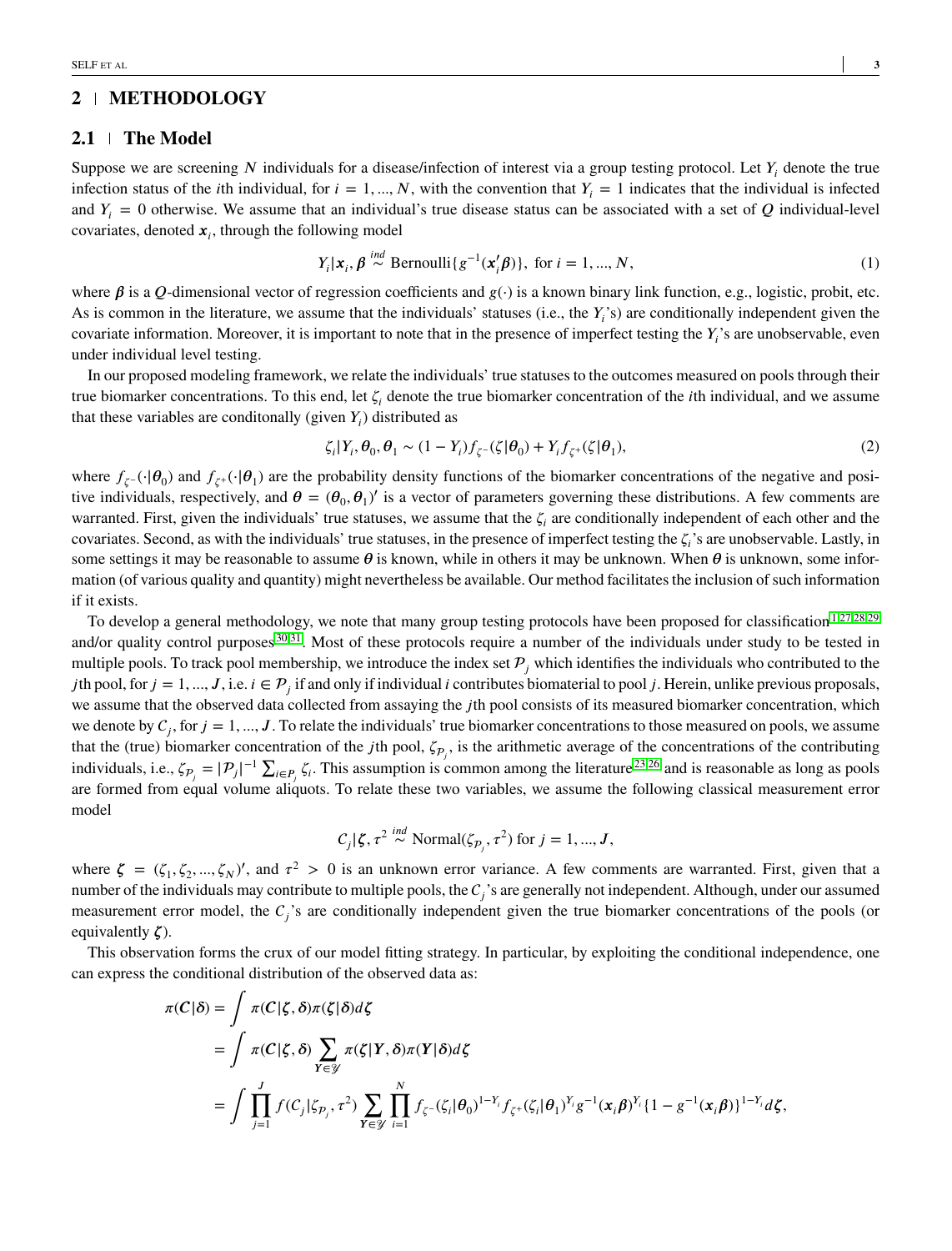# **2 METHODOLOGY**

#### **2.1 The Model**

Suppose we are screening  $N$  individuals for a disease/infection of interest via a group testing protocol. Let  $Y_i$  denote the true infection status of the *i*th individual, for  $i = 1, ..., N$ , with the convention that  $Y_i = 1$  indicates that the individual is infected and  $Y_i = 0$  otherwise. We assume that an individual's true disease status can be associated with a set of  $Q$  individual-level covariates, denoted *𝒙<sup>𝑖</sup>* , through the following model

$$
Y_i | \mathbf{x}_i, \boldsymbol{\beta} \stackrel{ind}{\sim} \text{Bernoulli}\{g^{-1}(\mathbf{x}'_i \boldsymbol{\beta})\}, \text{ for } i = 1, ..., N,
$$
 (1)

where  $\beta$  is a *Q*-dimensional vector of regression coefficients and  $g(\cdot)$  is a known binary link function, e.g., logistic, probit, etc. As is common in the literature, we assume that the individuals' statuses (i.e., the  $Y_i$ 's) are conditionally independent given the covariate information. Moreover, it is important to note that in the presence of imperfect testing the  $Y_i$ 's are unobservable, even under individual level testing.

In our proposed modeling framework, we relate the individuals' true statuses to the outcomes measured on pools through their true biomarker concentrations. To this end, let  $\zeta$ <sup>*i*</sup> denote the true biomarker concentration of the *i*th individual, and we assume that these variables are conditionally (given  $Y_i$ ) distributed as

<span id="page-2-0"></span>
$$
\zeta_i|Y_i, \theta_0, \theta_1 \sim (1 - Y_i)f_{\zeta}(\zeta|\theta_0) + Y_i f_{\zeta^+}(\zeta|\theta_1),\tag{2}
$$

where  $f_{\zeta}(\cdot|\theta_0)$  and  $f_{\zeta}(\cdot|\theta_1)$  are the probability density functions of the biomarker concentrations of the negative and positive individuals, respectively, and  $\theta = (\theta_0, \theta_1)'$  is a vector of parameters governing these distributions. A few comments are warranted. First, given the individuals' true statuses, we assume that the  $\zeta_i$  are conditionally independent of each other and the covariates. Second, as with the individuals' true statuses, in the presence of imperfect testing the  $\zeta_i$ 's are unobservable. Lastly, in some settings it may be reasonable to assume  $\theta$  is known, while in others it may be unknown. When  $\theta$  is unknown, some information (of various quality and quantity) might nevertheless be available. Our method facilitates the inclusion of such information if it exists.

To develop a general methodology, we note that many group testing protocols have been proposed for classification<sup>[1](#page-11-0)[,27](#page-12-15)[,28](#page-12-16)[,29](#page-12-17)</sup> and/or quality control purposes<sup>[30,](#page-12-18)[31](#page-12-19)</sup>. Most of these protocols require a number of the individuals under study to be tested in multiple pools. To track pool membership, we introduce the index set  $P_i$  which identifies the individuals who contributed to the *j*th pool, for  $j = 1, ..., J$ , i.e.  $i \in \mathcal{P}_j$  if and only if individual *i* contributes biomaterial to pool *j*. Herein, unlike previous proposals, we assume that the observed data collected from assaying the *j*th pool consists of its measured biomarker concentration, which we denote by  $C_j$ , for  $j = 1, ..., J$ . To relate the individuals' true biomarker concentrations to those measured on pools, we assume that the (true) biomarker concentration of the *j*th pool,  $\zeta_{p_j}$ , is the arithmetic average of the concentrations of the contributing individuals, i.e.,  $\zeta_{P_j} = |P_j|^{-1} \sum_{i \in P_j} \zeta_i$ . This assumption is common among the literature <sup>[23,](#page-12-11)[26](#page-12-14)</sup> and is reasonable as long as pools are formed from equal volume aliquots. To relate these two variables, we assume the following classical measurement error model

$$
C_j|\zeta, \tau^2 \stackrel{ind}{\sim} \text{Normal}(\zeta_{P_j}, \tau^2) \text{ for } j = 1, ..., J,
$$

where  $\zeta = (\zeta_1, \zeta_2, ..., \zeta_N)'$ , and  $\tau^2 > 0$  is an unknown error variance. A few comments are warranted. First, given that a number of the individuals may contribute to multiple pools, the  $C_j$ 's are generally not independent. Although, under our assumed measurement error model, the  $C_j$ 's are conditionally independent given the true biomarker concentrations of the pools (or equivalently  $\zeta$ ).

This observation forms the crux of our model fitting strategy. In particular, by exploiting the conditional independence, one can express the conditional distribution of the observed data as:

$$
\pi(C|\delta) = \int \pi(C|\zeta,\delta)\pi(\zeta|\delta)d\zeta
$$
  
= 
$$
\int \pi(C|\zeta,\delta) \sum_{Y \in \mathcal{Y}} \pi(\zeta|Y,\delta)\pi(Y|\delta)d\zeta
$$
  
= 
$$
\int \prod_{j=1}^{J} f(C_j|\zeta_{P_j},\tau^2) \sum_{Y \in \mathcal{Y}} \prod_{i=1}^{N} f_{\zeta^{-}}(\zeta_i|\theta_0)^{1-Y_i} f_{\zeta^{+}}(\zeta_i|\theta_1)^{Y_i} g^{-1}(x_i\beta)^{Y_i} \{1 - g^{-1}(x_i\beta)\}^{1-Y_i} d\zeta,
$$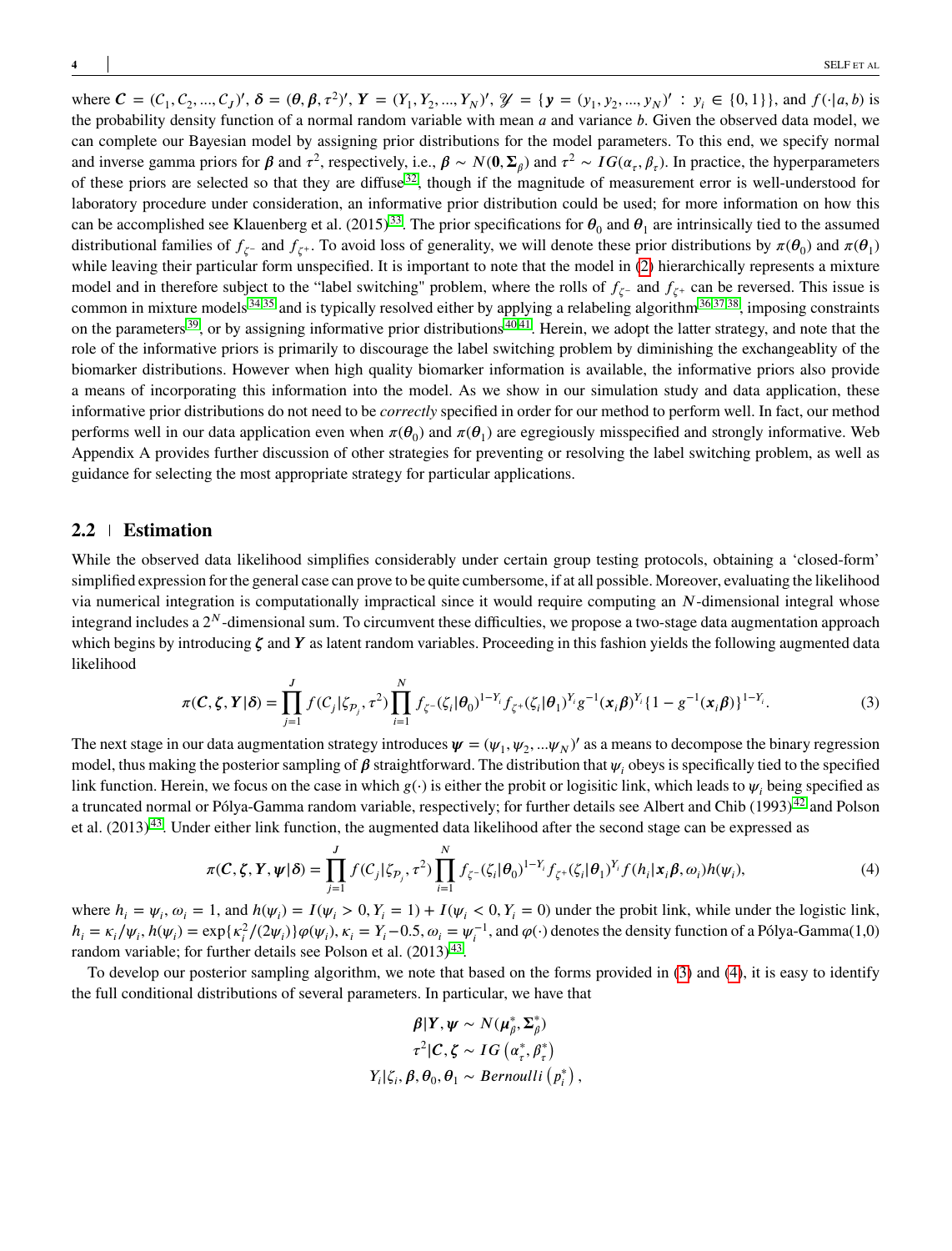where  $\mathbf{C} = (C_1, C_2, ..., C_J)'$ ,  $\delta = (\theta, \beta, \tau^2)'$ ,  $Y = (Y_1, Y_2, ..., Y_N)'$ ,  $\mathcal{Y} = {\mathbf{y} = (y_1, y_2, ..., y_N)}'$ :  $y_i \in \{0, 1\}$ , and  $f(\cdot | a, b)$  is the probability density function of a normal random variable with mean *a* and variance *b*. Given the observed data model, we can complete our Bayesian model by assigning prior distributions for the model parameters. To this end, we specify normal and inverse gamma priors for  $\beta$  and  $\tau^2$ , respectively, i.e.,  $\beta \sim N(0, \Sigma_\beta)$  and  $\tau^2 \sim IG(\alpha_\tau, \beta_\tau)$ . In practice, the hyperparameters of these priors are selected so that they are diffuse  $32$ , though if the magnitude of measurement error is well-understood for laboratory procedure under consideration, an informative prior distribution could be used; for more information on how this can be accomplished see Klauenberg et al.  $(2015)^{33}$  $(2015)^{33}$  $(2015)^{33}$ . The prior specifications for  $\theta_0$  and  $\theta_1$  are intrinsically tied to the assumed distributional families of  $f_{\zeta}$ - and  $f_{\zeta}$ <sup>+</sup>. To avoid loss of generality, we will denote these prior distributions by  $\pi(\theta_0)$  and  $\pi(\theta_1)$ while leaving their particular form unspecified. It is important to note that the model in [\(2\)](#page-2-0) hierarchically represents a mixture model and in therefore subject to the "label switching" problem, where the rolls of  $f_{\zeta}$ - and  $f_{\zeta}$ + can be reversed. This issue is common in mixture models  $34,35$  $34,35$  and is typically resolved either by applying a relabeling algorithm  $36,37,38$  $36,37,38$  $36,37,38$ , imposing constraints on the parameters  $39$ , or by assigning informative prior distributions  $40,41$  $40,41$ . Herein, we adopt the latter strategy, and note that the role of the informative priors is primarily to discourage the label switching problem by diminishing the exchangeablity of the biomarker distributions. However when high quality biomarker information is available, the informative priors also provide a means of incorporating this information into the model. As we show in our simulation study and data application, these informative prior distributions do not need to be *correctly* specified in order for our method to perform well. In fact, our method performs well in our data application even when  $\pi(\theta_0)$  and  $\pi(\theta_1)$  are egregiously misspecified and strongly informative. Web Appendix A provides further discussion of other strategies for preventing or resolving the label switching problem, as well as guidance for selecting the most appropriate strategy for particular applications.

### **2.2 Estimation**

While the observed data likelihood simplifies considerably under certain group testing protocols, obtaining a 'closed-form' simplified expression for the general case can prove to be quite cumbersome, if at all possible. Moreover, evaluating the likelihood via numerical integration is computationally impractical since it would require computing an *N*-dimensional integral whose integrand includes a 2<sup>N</sup>-dimensional sum. To circumvent these difficulties, we propose a two-stage data augmentation approach which begins by introducing ζ and Y as latent random variables. Proceeding in this fashion yields the following augmented data likelihood

$$
\pi(C,\zeta,Y|\delta) = \prod_{j=1}^{J} f(C_j|\zeta_{\mathcal{P}_j},\tau^2) \prod_{i=1}^{N} f_{\zeta}(\zeta_i|\theta_0)^{1-Y_i} f_{\zeta^+}(\zeta_i|\theta_1)^{Y_i} g^{-1}(\mathbf{x}_i\beta)^{Y_i} \{1-g^{-1}(\mathbf{x}_i\beta)\}^{1-Y_i}.
$$
\n(3)

The next stage in our data augmentation strategy introduces  $\psi = (\psi_1, \psi_2, ... \psi_N)'$  as a means to decompose the binary regression model, thus making the posterior sampling of  $\beta$  straightforward. The distribution that  $\psi_i$  obeys is specifically tied to the specified link function. Herein, we focus on the case in which  $g(\cdot)$  is either the probit or logisitic link, which leads to  $\psi_i$  being specified as a truncated normal or Pólya-Gamma random variable, respectively; for further details see Albert and Chib (1993)<sup>[42](#page-13-8)</sup> and Polson et al.  $(2013)^{43}$  $(2013)^{43}$  $(2013)^{43}$ . Under either link function, the augmented data likelihood after the second stage can be expressed as

$$
\pi(C,\zeta,Y,\psi|\delta) = \prod_{j=1}^{J} f(C_j|\zeta_{P_j},\tau^2) \prod_{i=1}^{N} f_{\zeta^{-}}(\zeta_i|\theta_0)^{1-Y_i} f_{\zeta^{+}}(\zeta_i|\theta_1)^{Y_i} f(h_i|\mathbf{x}_i;\beta,\omega_i) h(\psi_i),
$$
\n(4)

where  $h_i = \psi_i$ ,  $\omega_i = 1$ , and  $h(\psi_i) = I(\psi_i > 0, Y_i = 1) + I(\psi_i < 0, Y_i = 0)$  under the probit link, while under the logistic link,  $h_i = \kappa_i/\psi_i$ ,  $h(\psi_i) = \exp{\{\kappa_i^2/(2\psi_i)\}}\varphi(\psi_i)$ ,  $\kappa_i = Y_i - 0.5$ ,  $\omega_i = \psi_i^{-1}$ , and  $\varphi(\cdot)$  denotes the density function of a Pólya-Gamma(1,0) random variable; for further details see Polson et al.  $(2013)^{43}$  $(2013)^{43}$  $(2013)^{43}$ .

To develop our posterior sampling algorithm, we note that based on the forms provided in [\(3\)](#page-3-0) and [\(4\)](#page-3-1), it is easy to identify the full conditional distributions of several parameters. In particular, we have that

<span id="page-3-1"></span><span id="page-3-0"></span>
$$
\beta|Y, \psi \sim N(\mu_{\beta}^*, \Sigma_{\beta}^*)
$$

$$
\tau^2|C, \zeta \sim IG(\alpha_{\tau}^*, \beta_{\tau}^*)
$$

$$
Y_i|\zeta_i, \beta, \theta_0, \theta_1 \sim Bernoulli(p_i^*),
$$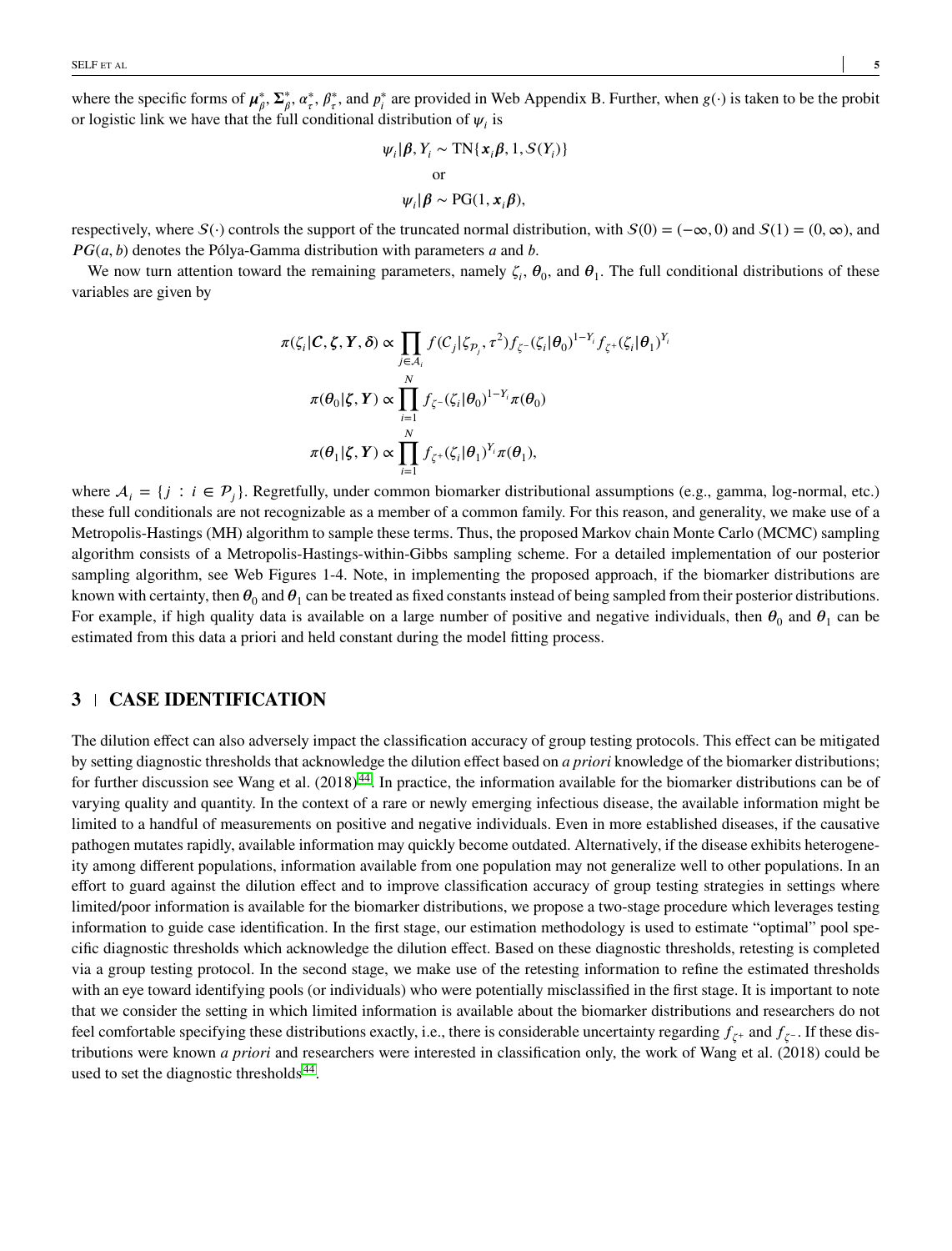where the specific forms of  $\mu^*_{\beta}$ ,  $\Sigma^*_{\beta}$ ,  $\alpha^*_{\tau}$ ,  $\beta^*_{\tau}$ , and  $p^*_{\tau}$  are provided in Web Appendix B. Further, when  $g(\cdot)$  is taken to be the probit or logistic link we have that the full conditional distribution of  $\psi_i$  is

$$
\psi_i | \beta, Y_i \sim \text{TN}\{\mathbf{x}_i \beta, 1, S(Y_i)\}
$$
  
or  

$$
\psi_i | \beta \sim \text{PG}(1, \mathbf{x}_i \beta),
$$

respectively, where  $S(\cdot)$  controls the support of the truncated normal distribution, with  $S(0) = (-\infty, 0)$  and  $S(1) = (0, \infty)$ , and *PG*(*a*, *b*) denotes the Pólya-Gamma distribution with parameters *a* and *b*.

We now turn attention toward the remaining parameters, namely  $\zeta_i$ ,  $\theta_0$ , and  $\theta_1$ . The full conditional distributions of these variables are given by

$$
\pi(\zeta_i|\mathcal{C}, \zeta, \mathbf{Y}, \delta) \propto \prod_{j \in \mathcal{A}_i} f(C_j|\zeta_{\mathcal{P}_j}, \tau^2) f_{\zeta^{-}}(\zeta_i|\theta_0)^{1-Y_i} f_{\zeta^{+}}(\zeta_i|\theta_1)^{Y_i}
$$

$$
\pi(\theta_0|\zeta, \mathbf{Y}) \propto \prod_{i=1}^N f_{\zeta^{-}}(\zeta_i|\theta_0)^{1-Y_i} \pi(\theta_0)
$$

$$
\pi(\theta_1|\zeta, \mathbf{Y}) \propto \prod_{i=1}^N f_{\zeta^{+}}(\zeta_i|\theta_1)^{Y_i} \pi(\theta_1),
$$

where  $A_i = \{j : i \in P_j\}$ . Regretfully, under common biomarker distributional assumptions (e.g., gamma, log-normal, etc.) these full conditionals are not recognizable as a member of a common family. For this reason, and generality, we make use of a Metropolis-Hastings (MH) algorithm to sample these terms. Thus, the proposed Markov chain Monte Carlo (MCMC) sampling algorithm consists of a Metropolis-Hastings-within-Gibbs sampling scheme. For a detailed implementation of our posterior sampling algorithm, see Web Figures 1-4. Note, in implementing the proposed approach, if the biomarker distributions are known with certainty, then  $\theta_0$  and  $\theta_1$  can be treated as fixed constants instead of being sampled from their posterior distributions. For example, if high quality data is available on a large number of positive and negative individuals, then  $\theta_0$  and  $\theta_1$  can be estimated from this data a priori and held constant during the model fitting process.

## **3 CASE IDENTIFICATION**

The dilution effect can also adversely impact the classification accuracy of group testing protocols. This effect can be mitigated by setting diagnostic thresholds that acknowledge the dilution effect based on *a priori* knowledge of the biomarker distributions; for further discussion see Wang et al.  $(2018)^{44}$  $(2018)^{44}$  $(2018)^{44}$ . In practice, the information available for the biomarker distributions can be of varying quality and quantity. In the context of a rare or newly emerging infectious disease, the available information might be limited to a handful of measurements on positive and negative individuals. Even in more established diseases, if the causative pathogen mutates rapidly, available information may quickly become outdated. Alternatively, if the disease exhibits heterogeneity among different populations, information available from one population may not generalize well to other populations. In an effort to guard against the dilution effect and to improve classification accuracy of group testing strategies in settings where limited/poor information is available for the biomarker distributions, we propose a two-stage procedure which leverages testing information to guide case identification. In the first stage, our estimation methodology is used to estimate "optimal" pool specific diagnostic thresholds which acknowledge the dilution effect. Based on these diagnostic thresholds, retesting is completed via a group testing protocol. In the second stage, we make use of the retesting information to refine the estimated thresholds with an eye toward identifying pools (or individuals) who were potentially misclassified in the first stage. It is important to note that we consider the setting in which limited information is available about the biomarker distributions and researchers do not feel comfortable specifying these distributions exactly, i.e., there is considerable uncertainty regarding  $f_{\zeta^+}$  and  $f_{\zeta^-}$ . If these distributions were known *a priori* and researchers were interested in classification only, the work of Wang et al. (2018) could be used to set the diagnostic thresholds<sup>[44](#page-13-10)</sup>.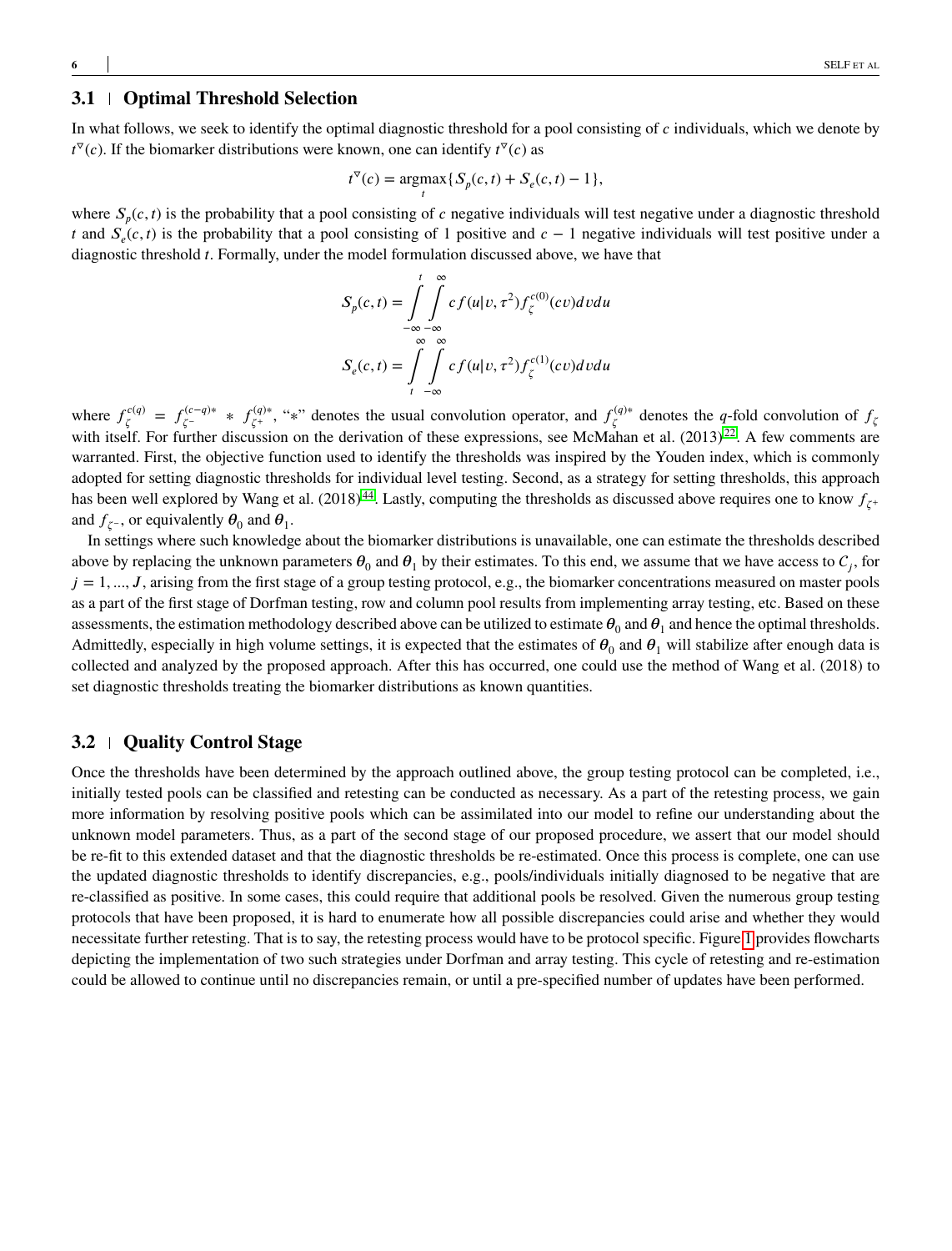# **3.1 Optimal Threshold Selection**

In what follows, we seek to identify the optimal diagnostic threshold for a pool consisting of *c* individuals, which we denote by  $t^{\nabla}(c)$ . If the biomarker distributions were known, one can identify  $t^{\nabla}(c)$  as

$$
t^{\nabla}(c) = \underset{t}{\text{argmax}} \{ S_p(c, t) + S_e(c, t) - 1 \},\
$$

where  $S_p(c, t)$  is the probability that a pool consisting of *c* negative individuals will test negative under a diagnostic threshold *t* and  $S_e(c, t)$  is the probability that a pool consisting of 1 positive and  $c - 1$  negative individuals will test positive under a diagnostic threshold *t*. Formally, under the model formulation discussed above, we have that

$$
S_p(c,t) = \int_{-\infty}^{t} \int_{-\infty}^{\infty} cf(u|v, \tau^2) f_{\zeta}^{c(0)}(cv) dv du
$$

$$
S_e(c,t) = \int_{t}^{\infty} \int_{-\infty}^{\infty} cf(u|v, \tau^2) f_{\zeta}^{c(1)}(cv) dv du
$$

where  $f^{c(q)}_{\zeta}$  $\zeta^{c(q)} = f^{(c-q)*}_{\zeta^{-}}$ *'*<sub>*ζ*<sup>-</sup></sub> \* *f*<sub>*ζ*<sup>+</sup></sub> \* *(q*)<sup>∗</sup>, "∗" denotes the usual convolution operator, and  $f_\zeta^{(q)*}$  $\zeta^{(q)*}$  denotes the *q*-fold convolution of  $f_{\zeta}$ with itself. For further discussion on the derivation of these expressions, see McMahan et al. (2013)<sup>[22](#page-12-10)</sup>. A few comments are warranted. First, the objective function used to identify the thresholds was inspired by the Youden index, which is commonly adopted for setting diagnostic thresholds for individual level testing. Second, as a strategy for setting thresholds, this approach has been well explored by Wang et al.  $(2018)^{44}$  $(2018)^{44}$  $(2018)^{44}$ . Lastly, computing the thresholds as discussed above requires one to know  $f_{\zeta^+}$ and  $f_{\zeta^-}$ , or equivalently  $\theta_0$  and  $\theta_1$ .

In settings where such knowledge about the biomarker distributions is unavailable, one can estimate the thresholds described above by replacing the unknown parameters  $\theta_0$  and  $\theta_1$  by their estimates. To this end, we assume that we have access to  $C_j$ , for  $j = 1, ..., J$ , arising from the first stage of a group testing protocol, e.g., the biomarker concentrations measured on master pools as a part of the first stage of Dorfman testing, row and column pool results from implementing array testing, etc. Based on these assessments, the estimation methodology described above can be utilized to estimate  $\theta_0$  and  $\theta_1$  and hence the optimal thresholds. Admittedly, especially in high volume settings, it is expected that the estimates of  $\theta_0$  and  $\theta_1$  will stabilize after enough data is collected and analyzed by the proposed approach. After this has occurred, one could use the method of Wang et al. (2018) to set diagnostic thresholds treating the biomarker distributions as known quantities.

## **3.2 Quality Control Stage**

Once the thresholds have been determined by the approach outlined above, the group testing protocol can be completed, i.e., initially tested pools can be classified and retesting can be conducted as necessary. As a part of the retesting process, we gain more information by resolving positive pools which can be assimilated into our model to refine our understanding about the unknown model parameters. Thus, as a part of the second stage of our proposed procedure, we assert that our model should be re-fit to this extended dataset and that the diagnostic thresholds be re-estimated. Once this process is complete, one can use the updated diagnostic thresholds to identify discrepancies, e.g., pools/individuals initially diagnosed to be negative that are re-classified as positive. In some cases, this could require that additional pools be resolved. Given the numerous group testing protocols that have been proposed, it is hard to enumerate how all possible discrepancies could arise and whether they would necessitate further retesting. That is to say, the retesting process would have to be protocol specific. Figure [1](#page-6-0) provides flowcharts depicting the implementation of two such strategies under Dorfman and array testing. This cycle of retesting and re-estimation could be allowed to continue until no discrepancies remain, or until a pre-specified number of updates have been performed.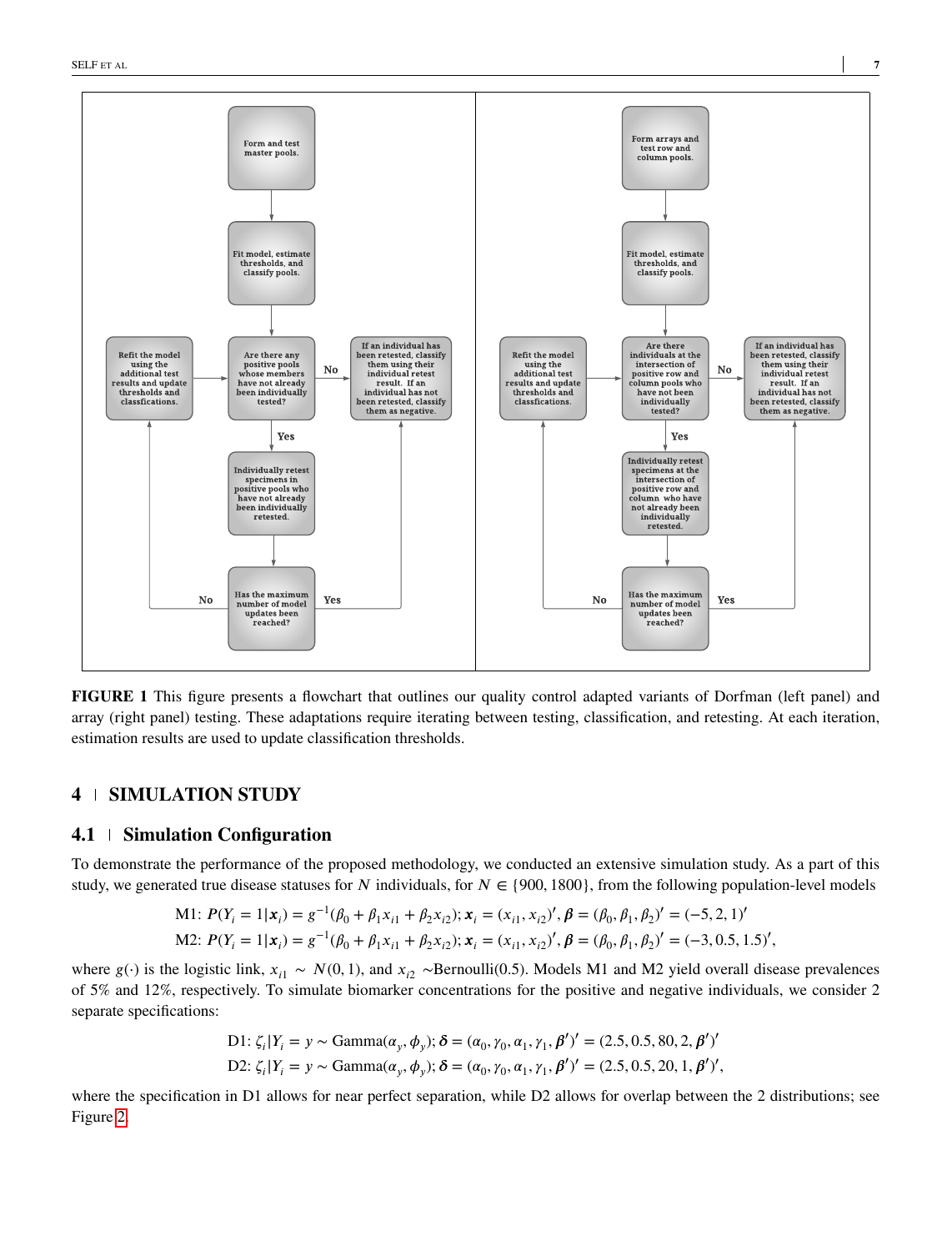<span id="page-6-0"></span>

**FIGURE 1** This figure presents a flowchart that outlines our quality control adapted variants of Dorfman (left panel) and array (right panel) testing. These adaptations require iterating between testing, classification, and retesting. At each iteration, estimation results are used to update classification thresholds.

# **4 SIMULATION STUDY**

# **4.1 Simulation Configuration**

To demonstrate the performance of the proposed methodology, we conducted an extensive simulation study. As a part of this study, we generated true disease statuses for *N* individuals, for  $N \in \{900, 1800\}$ , from the following population-level models

M1: 
$$
P(Y_i = 1 | \mathbf{x}_i) = g^{-1}(\beta_0 + \beta_1 x_{i1} + \beta_2 x_{i2}); \mathbf{x}_i = (x_{i1}, x_{i2})', \beta = (\beta_0, \beta_1, \beta_2)' = (-5, 2, 1)'
$$
  
M2:  $P(Y_i = 1 | \mathbf{x}_i) = g^{-1}(\beta_0 + \beta_1 x_{i1} + \beta_2 x_{i2}); \mathbf{x}_i = (x_{i1}, x_{i2})', \beta = (\beta_0, \beta_1, \beta_2)' = (-3, 0.5, 1.5)',$ 

where  $g(\cdot)$  is the logistic link,  $x_{i1} \sim N(0, 1)$ , and  $x_{i2} \sim \text{Bernoulli}(0.5)$ . Models M1 and M2 yield overall disease prevalences of 5% and 12%, respectively. To simulate biomarker concentrations for the positive and negative individuals, we consider 2 separate specifications:

D1: 
$$
\zeta_i | Y_i = y \sim \text{Gamma}(\alpha_y, \phi_y); \delta = (\alpha_0, \gamma_0, \alpha_1, \gamma_1, \beta')' = (2.5, 0.5, 80, 2, \beta')'
$$
  
D2:  $\zeta_i | Y_i = y \sim \text{Gamma}(\alpha_y, \phi_y); \delta = (\alpha_0, \gamma_0, \alpha_1, \gamma_1, \beta')' = (2.5, 0.5, 20, 1, \beta')',$ 

where the specification in D1 allows for near perfect separation, while D2 allows for overlap between the 2 distributions; see Figure [2.](#page-8-0)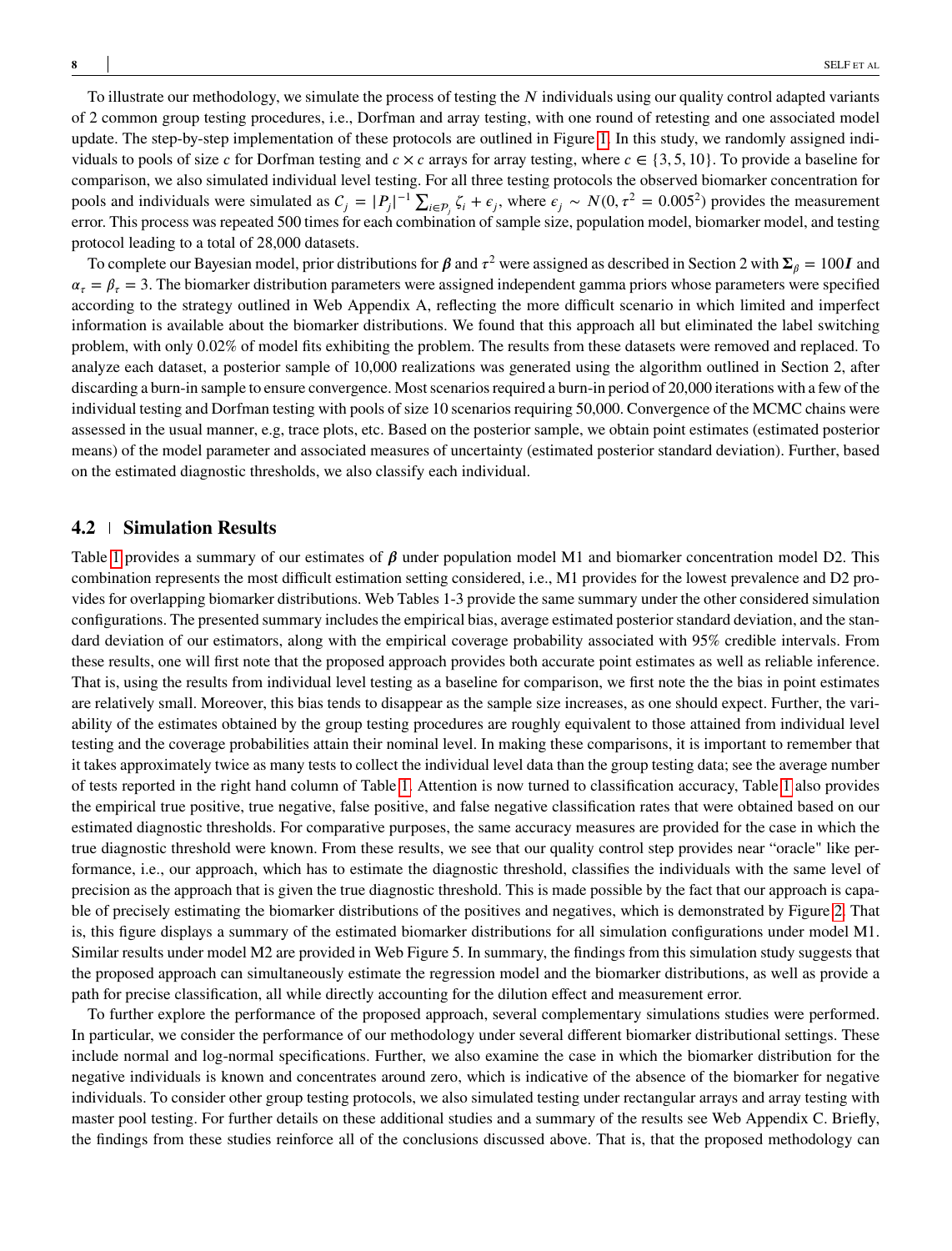To illustrate our methodology, we simulate the process of testing the N individuals using our quality control adapted variants of 2 common group testing procedures, i.e., Dorfman and array testing, with one round of retesting and one associated model update. The step-by-step implementation of these protocols are outlined in Figure [1.](#page-6-0) In this study, we randomly assigned individuals to pools of size *c* for Dorfman testing and  $c \times c$  arrays for array testing, where  $c \in \{3, 5, 10\}$ . To provide a baseline for comparison, we also simulated individual level testing. For all three testing protocols the observed biomarker concentration for pools and individuals were simulated as  $C_j = |P_j|^{-1} \sum_{i \in P_j} \zeta_i + \epsilon_j$ , where  $\epsilon_j \sim N(0, \tau^2 = 0.005^2)$  provides the measurement error. This process was repeated 500 times for each combination of sample size, population model, biomarker model, and testing protocol leading to a total of 28,000 datasets.

To complete our Bayesian model, prior distributions for  $\beta$  and  $\tau^2$  were assigned as described in Section 2 with  $\Sigma_\beta = 100I$  and  $\alpha_r = \beta_r = 3$ . The biomarker distribution parameters were assigned independent gamma priors whose parameters were specified according to the strategy outlined in Web Appendix A, reflecting the more difficult scenario in which limited and imperfect information is available about the biomarker distributions. We found that this approach all but eliminated the label switching problem, with only 0.02% of model fits exhibiting the problem. The results from these datasets were removed and replaced. To analyze each dataset, a posterior sample of 10,000 realizations was generated using the algorithm outlined in Section 2, after discarding a burn-in sample to ensure convergence. Most scenarios required a burn-in period of 20,000 iterations with a few of the individual testing and Dorfman testing with pools of size 10 scenarios requiring 50,000. Convergence of the MCMC chains were assessed in the usual manner, e.g, trace plots, etc. Based on the posterior sample, we obtain point estimates (estimated posterior means) of the model parameter and associated measures of uncertainty (estimated posterior standard deviation). Further, based on the estimated diagnostic thresholds, we also classify each individual.

## **4.2 Simulation Results**

Table [1](#page-14-0) provides a summary of our estimates of  $\beta$  under population model M1 and biomarker concentration model D2. This combination represents the most difficult estimation setting considered, i.e., M1 provides for the lowest prevalence and D2 provides for overlapping biomarker distributions. Web Tables 1-3 provide the same summary under the other considered simulation configurations. The presented summary includes the empirical bias, average estimated posterior standard deviation, and the standard deviation of our estimators, along with the empirical coverage probability associated with 95% credible intervals. From these results, one will first note that the proposed approach provides both accurate point estimates as well as reliable inference. That is, using the results from individual level testing as a baseline for comparison, we first note the the bias in point estimates are relatively small. Moreover, this bias tends to disappear as the sample size increases, as one should expect. Further, the variability of the estimates obtained by the group testing procedures are roughly equivalent to those attained from individual level testing and the coverage probabilities attain their nominal level. In making these comparisons, it is important to remember that it takes approximately twice as many tests to collect the individual level data than the group testing data; see the average number of tests reported in the right hand column of Table [1.](#page-14-0) Attention is now turned to classification accuracy, Table [1](#page-14-0) also provides the empirical true positive, true negative, false positive, and false negative classification rates that were obtained based on our estimated diagnostic thresholds. For comparative purposes, the same accuracy measures are provided for the case in which the true diagnostic threshold were known. From these results, we see that our quality control step provides near "oracle" like performance, i.e., our approach, which has to estimate the diagnostic threshold, classifies the individuals with the same level of precision as the approach that is given the true diagnostic threshold. This is made possible by the fact that our approach is capable of precisely estimating the biomarker distributions of the positives and negatives, which is demonstrated by Figure [2.](#page-8-0) That is, this figure displays a summary of the estimated biomarker distributions for all simulation configurations under model M1. Similar results under model M2 are provided in Web Figure 5. In summary, the findings from this simulation study suggests that the proposed approach can simultaneously estimate the regression model and the biomarker distributions, as well as provide a path for precise classification, all while directly accounting for the dilution effect and measurement error.

To further explore the performance of the proposed approach, several complementary simulations studies were performed. In particular, we consider the performance of our methodology under several different biomarker distributional settings. These include normal and log-normal specifications. Further, we also examine the case in which the biomarker distribution for the negative individuals is known and concentrates around zero, which is indicative of the absence of the biomarker for negative individuals. To consider other group testing protocols, we also simulated testing under rectangular arrays and array testing with master pool testing. For further details on these additional studies and a summary of the results see Web Appendix C. Briefly, the findings from these studies reinforce all of the conclusions discussed above. That is, that the proposed methodology can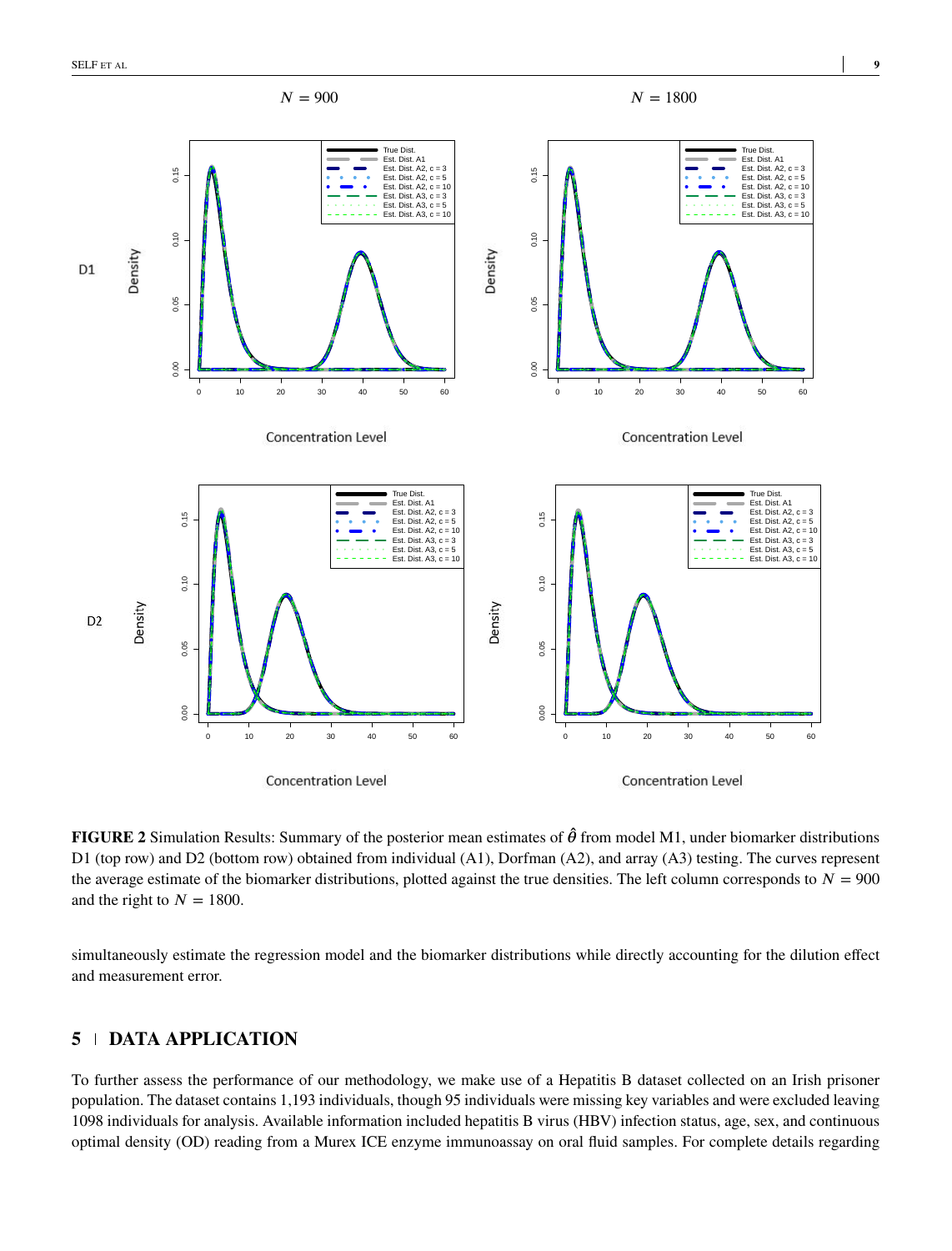<span id="page-8-0"></span>

**FIGURE 2** Simulation Results: Summary of the posterior mean estimates of  $\hat{\theta}$  from model M1, under biomarker distributions D1 (top row) and D2 (bottom row) obtained from individual (A1), Dorfman (A2), and array (A3) testing. The curves represent the average estimate of the biomarker distributions, plotted against the true densities. The left column corresponds to  $N = 900$ and the right to  $N = 1800$ .

simultaneously estimate the regression model and the biomarker distributions while directly accounting for the dilution effect and measurement error.

# **5 DATA APPLICATION**

To further assess the performance of our methodology, we make use of a Hepatitis B dataset collected on an Irish prisoner population. The dataset contains 1,193 individuals, though 95 individuals were missing key variables and were excluded leaving 1098 individuals for analysis. Available information included hepatitis B virus (HBV) infection status, age, sex, and continuous optimal density (OD) reading from a Murex ICE enzyme immunoassay on oral fluid samples. For complete details regarding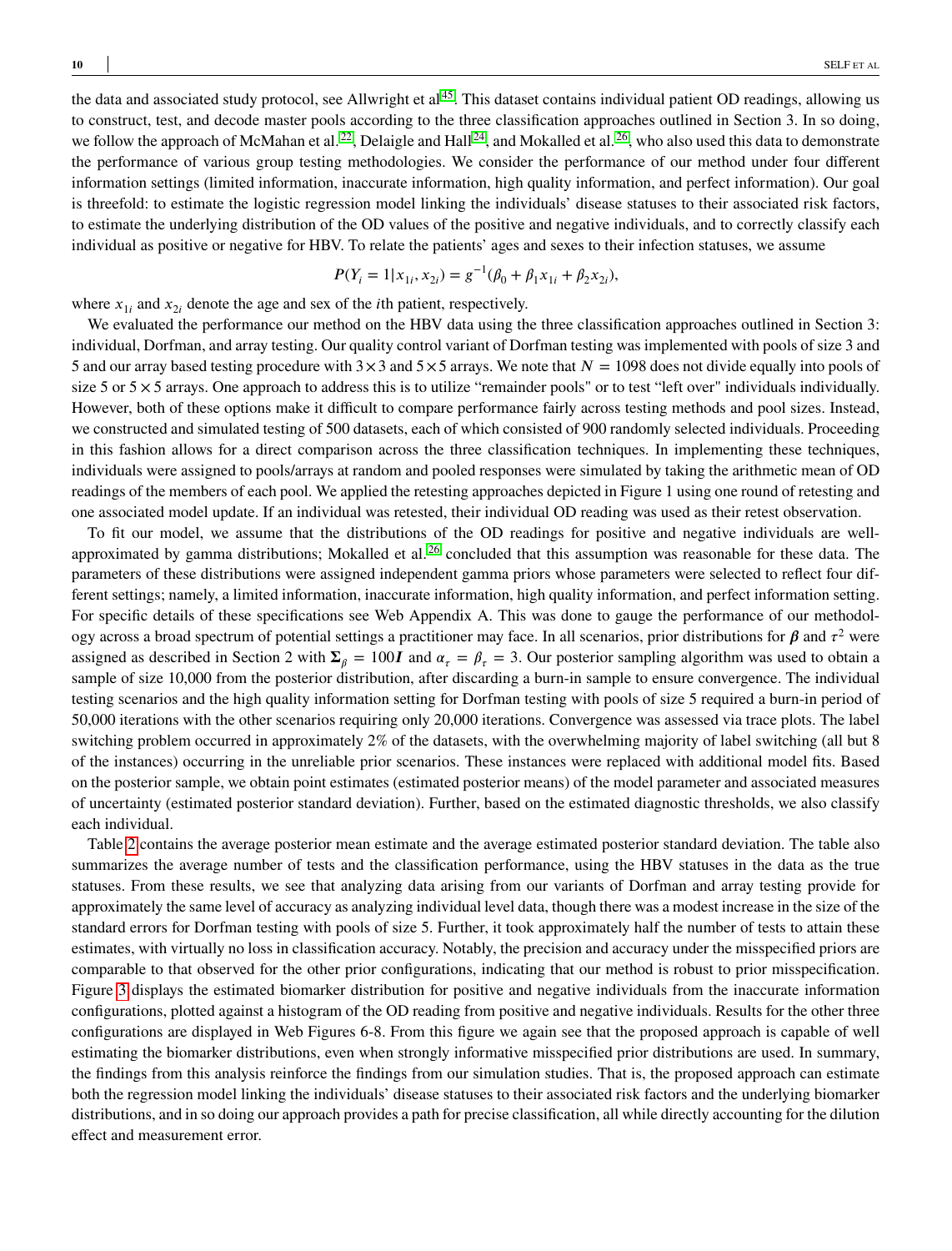the data and associated study protocol, see Allwright et al  $45$ . This dataset contains individual patient OD readings, allowing us to construct, test, and decode master pools according to the three classification approaches outlined in Section 3. In so doing, we follow the approach of McMahan et al.<sup>[22](#page-12-10)</sup>, Delaigle and Hall<sup>[24](#page-12-12)</sup>, and Mokalled et al.<sup>[26](#page-12-14)</sup>, who also used this data to demonstrate the performance of various group testing methodologies. We consider the performance of our method under four different information settings (limited information, inaccurate information, high quality information, and perfect information). Our goal is threefold: to estimate the logistic regression model linking the individuals' disease statuses to their associated risk factors, to estimate the underlying distribution of the OD values of the positive and negative individuals, and to correctly classify each individual as positive or negative for HBV. To relate the patients' ages and sexes to their infection statuses, we assume

$$
P(Y_i = 1 | x_{1i}, x_{2i}) = g^{-1}(\beta_0 + \beta_1 x_{1i} + \beta_2 x_{2i}),
$$

where  $x_{1i}$  and  $x_{2i}$  denote the age and sex of the *i*th patient, respectively.

We evaluated the performance our method on the HBV data using the three classification approaches outlined in Section 3: individual, Dorfman, and array testing. Our quality control variant of Dorfman testing was implemented with pools of size 3 and 5 and our array based testing procedure with  $3 \times 3$  and  $5 \times 5$  arrays. We note that  $N = 1098$  does not divide equally into pools of size 5 or  $5 \times 5$  arrays. One approach to address this is to utilize "remainder pools" or to test "left over" individuals individually. However, both of these options make it difficult to compare performance fairly across testing methods and pool sizes. Instead, we constructed and simulated testing of 500 datasets, each of which consisted of 900 randomly selected individuals. Proceeding in this fashion allows for a direct comparison across the three classification techniques. In implementing these techniques, individuals were assigned to pools/arrays at random and pooled responses were simulated by taking the arithmetic mean of OD readings of the members of each pool. We applied the retesting approaches depicted in Figure 1 using one round of retesting and one associated model update. If an individual was retested, their individual OD reading was used as their retest observation.

To fit our model, we assume that the distributions of the OD readings for positive and negative individuals are well-approximated by gamma distributions; Mokalled et al.<sup>[26](#page-12-14)</sup> concluded that this assumption was reasonable for these data. The parameters of these distributions were assigned independent gamma priors whose parameters were selected to reflect four different settings; namely, a limited information, inaccurate information, high quality information, and perfect information setting. For specific details of these specifications see Web Appendix A. This was done to gauge the performance of our methodology across a broad spectrum of potential settings a practitioner may face. In all scenarios, prior distributions for  $\beta$  and  $\tau^2$  were assigned as described in Section 2 with  $\Sigma_\beta = 100I$  and  $\alpha_\tau = \beta_\tau = 3$ . Our posterior sampling algorithm was used to obtain a sample of size 10,000 from the posterior distribution, after discarding a burn-in sample to ensure convergence. The individual testing scenarios and the high quality information setting for Dorfman testing with pools of size 5 required a burn-in period of 50,000 iterations with the other scenarios requiring only 20,000 iterations. Convergence was assessed via trace plots. The label switching problem occurred in approximately 2% of the datasets, with the overwhelming majority of label switching (all but 8 of the instances) occurring in the unreliable prior scenarios. These instances were replaced with additional model fits. Based on the posterior sample, we obtain point estimates (estimated posterior means) of the model parameter and associated measures of uncertainty (estimated posterior standard deviation). Further, based on the estimated diagnostic thresholds, we also classify each individual.

Table [2](#page-15-0) contains the average posterior mean estimate and the average estimated posterior standard deviation. The table also summarizes the average number of tests and the classification performance, using the HBV statuses in the data as the true statuses. From these results, we see that analyzing data arising from our variants of Dorfman and array testing provide for approximately the same level of accuracy as analyzing individual level data, though there was a modest increase in the size of the standard errors for Dorfman testing with pools of size 5. Further, it took approximately half the number of tests to attain these estimates, with virtually no loss in classification accuracy. Notably, the precision and accuracy under the misspecified priors are comparable to that observed for the other prior configurations, indicating that our method is robust to prior misspecification. Figure [3](#page-10-0) displays the estimated biomarker distribution for positive and negative individuals from the inaccurate information configurations, plotted against a histogram of the OD reading from positive and negative individuals. Results for the other three configurations are displayed in Web Figures 6-8. From this figure we again see that the proposed approach is capable of well estimating the biomarker distributions, even when strongly informative misspecified prior distributions are used. In summary, the findings from this analysis reinforce the findings from our simulation studies. That is, the proposed approach can estimate both the regression model linking the individuals' disease statuses to their associated risk factors and the underlying biomarker distributions, and in so doing our approach provides a path for precise classification, all while directly accounting for the dilution effect and measurement error.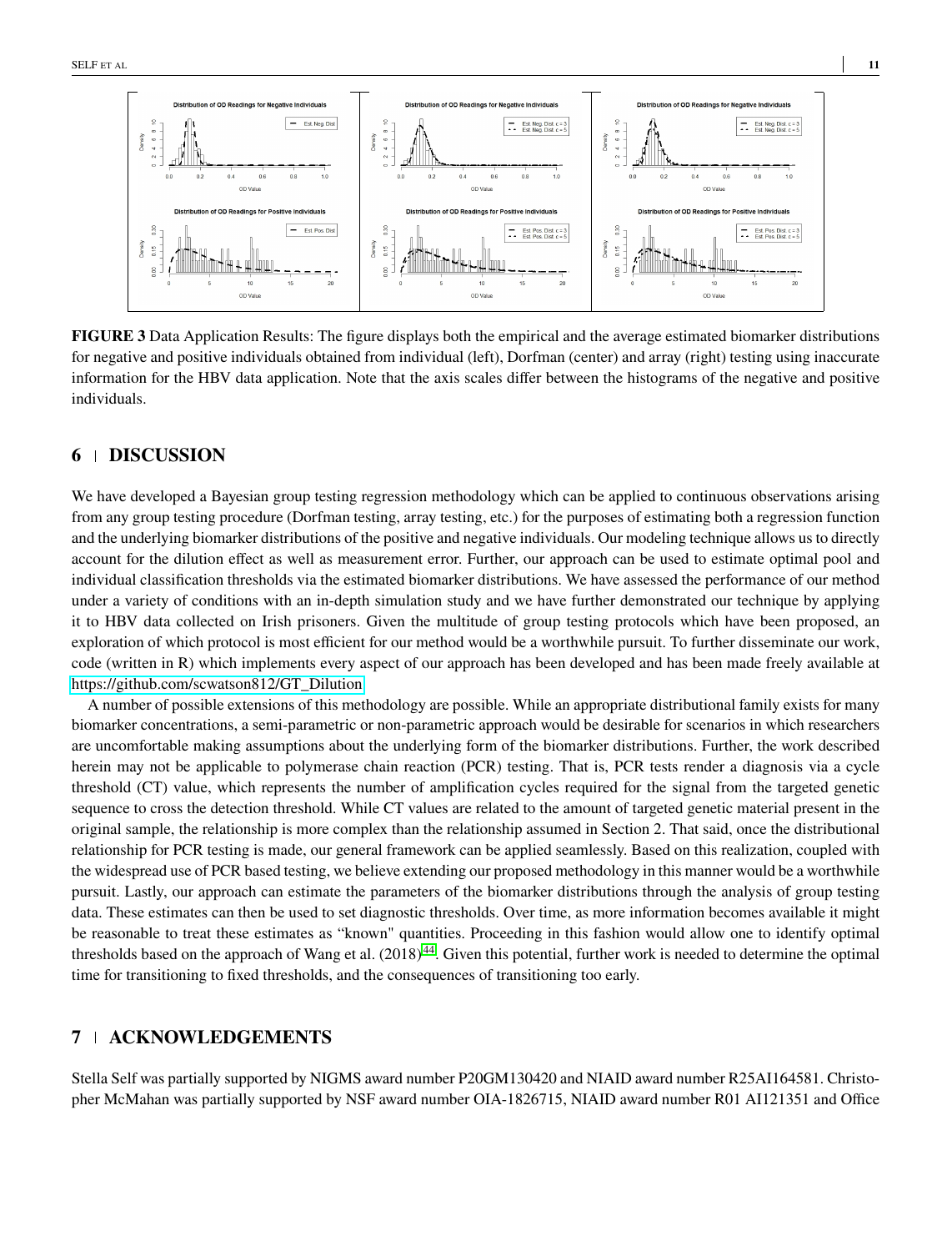<span id="page-10-0"></span>

**FIGURE 3** Data Application Results: The figure displays both the empirical and the average estimated biomarker distributions for negative and positive individuals obtained from individual (left), Dorfman (center) and array (right) testing using inaccurate information for the HBV data application. Note that the axis scales differ between the histograms of the negative and positive individuals.

# **6 DISCUSSION**

We have developed a Bayesian group testing regression methodology which can be applied to continuous observations arising from any group testing procedure (Dorfman testing, array testing, etc.) for the purposes of estimating both a regression function and the underlying biomarker distributions of the positive and negative individuals. Our modeling technique allows us to directly account for the dilution effect as well as measurement error. Further, our approach can be used to estimate optimal pool and individual classification thresholds via the estimated biomarker distributions. We have assessed the performance of our method under a variety of conditions with an in-depth simulation study and we have further demonstrated our technique by applying it to HBV data collected on Irish prisoners. Given the multitude of group testing protocols which have been proposed, an exploration of which protocol is most efficient for our method would be a worthwhile pursuit. To further disseminate our work, code (written in R) which implements every aspect of our approach has been developed and has been made freely available at [https://github.com/scwatson812/GT\\_Dilution.](https://github.com/scwatson812/GT_Dilution)

A number of possible extensions of this methodology are possible. While an appropriate distributional family exists for many biomarker concentrations, a semi-parametric or non-parametric approach would be desirable for scenarios in which researchers are uncomfortable making assumptions about the underlying form of the biomarker distributions. Further, the work described herein may not be applicable to polymerase chain reaction (PCR) testing. That is, PCR tests render a diagnosis via a cycle threshold (CT) value, which represents the number of amplification cycles required for the signal from the targeted genetic sequence to cross the detection threshold. While CT values are related to the amount of targeted genetic material present in the original sample, the relationship is more complex than the relationship assumed in Section 2. That said, once the distributional relationship for PCR testing is made, our general framework can be applied seamlessly. Based on this realization, coupled with the widespread use of PCR based testing, we believe extending our proposed methodology in this manner would be a worthwhile pursuit. Lastly, our approach can estimate the parameters of the biomarker distributions through the analysis of group testing data. These estimates can then be used to set diagnostic thresholds. Over time, as more information becomes available it might be reasonable to treat these estimates as "known" quantities. Proceeding in this fashion would allow one to identify optimal thresholds based on the approach of Wang et al.  $(2018)^{44}$  $(2018)^{44}$  $(2018)^{44}$ . Given this potential, further work is needed to determine the optimal time for transitioning to fixed thresholds, and the consequences of transitioning too early.

## **7 ACKNOWLEDGEMENTS**

Stella Self was partially supported by NIGMS award number P20GM130420 and NIAID award number R25AI164581. Christopher McMahan was partially supported by NSF award number OIA-1826715, NIAID award number R01 AI121351 and Office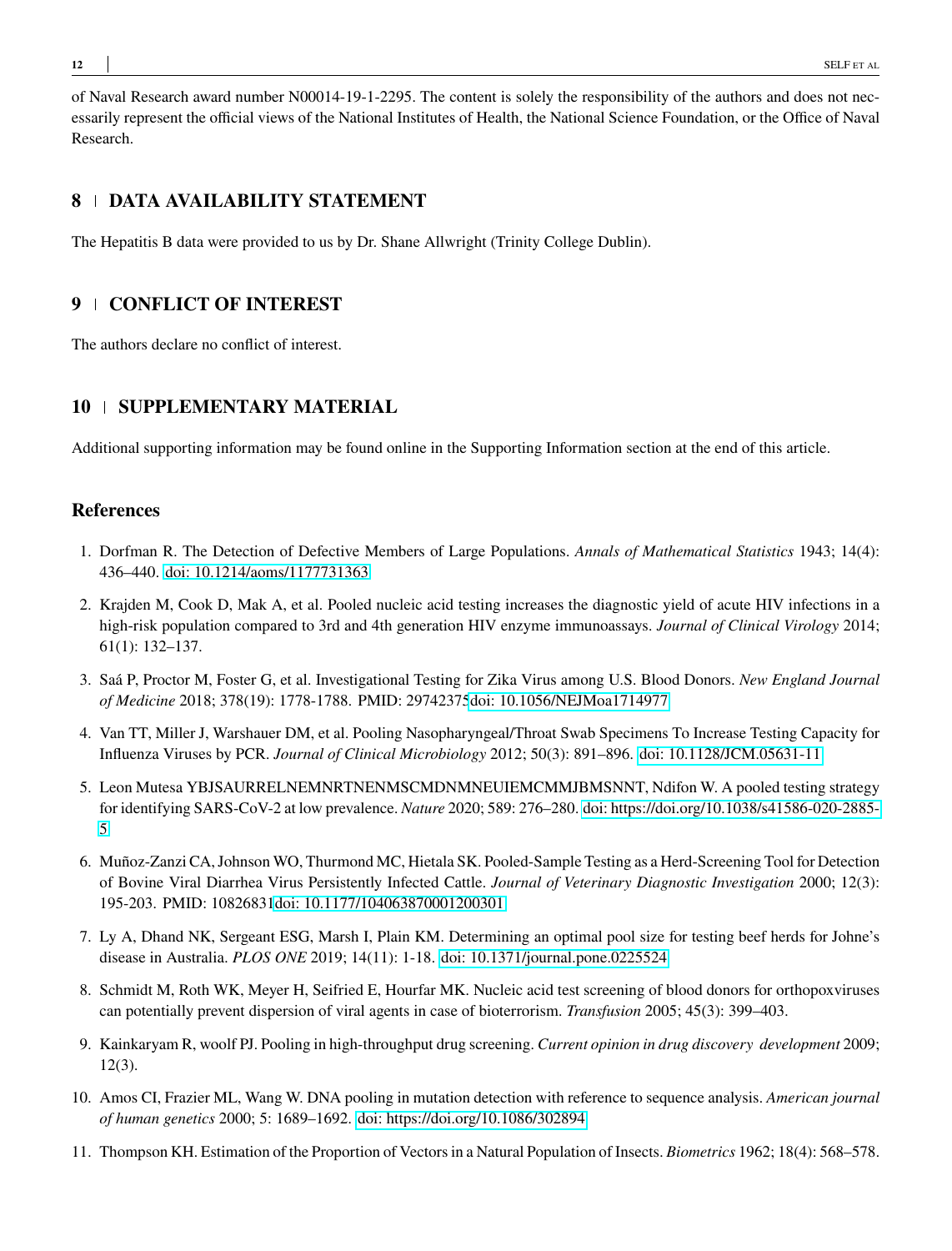of Naval Research award number N00014-19-1-2295. The content is solely the responsibility of the authors and does not necessarily represent the official views of the National Institutes of Health, the National Science Foundation, or the Office of Naval Research.

# **8 DATA AVAILABILITY STATEMENT**

The Hepatitis B data were provided to us by Dr. Shane Allwright (Trinity College Dublin).

# **9 CONFLICT OF INTEREST**

The authors declare no conflict of interest.

## **10 SUPPLEMENTARY MATERIAL**

Additional supporting information may be found online in the Supporting Information section at the end of this article.

# **References**

- <span id="page-11-0"></span>1. Dorfman R. The Detection of Defective Members of Large Populations. *Annals of Mathematical Statistics* 1943; 14(4): 436–440. [doi: 10.1214/aoms/1177731363](http://dx.doi.org/10.1214/aoms/1177731363)
- <span id="page-11-1"></span>2. Krajden M, Cook D, Mak A, et al. Pooled nucleic acid testing increases the diagnostic yield of acute HIV infections in a high-risk population compared to 3rd and 4th generation HIV enzyme immunoassays. *Journal of Clinical Virology* 2014; 61(1): 132–137.
- <span id="page-11-2"></span>3. Saá P, Proctor M, Foster G, et al. Investigational Testing for Zika Virus among U.S. Blood Donors. *New England Journal of Medicine* 2018; 378(19): 1778-1788. PMID: 2974237[5doi: 10.1056/NEJMoa1714977](http://dx.doi.org/10.1056/NEJMoa1714977)
- <span id="page-11-3"></span>4. Van TT, Miller J, Warshauer DM, et al. Pooling Nasopharyngeal/Throat Swab Specimens To Increase Testing Capacity for Influenza Viruses by PCR. *Journal of Clinical Microbiology* 2012; 50(3): 891–896. [doi: 10.1128/JCM.05631-11](http://dx.doi.org/10.1128/JCM.05631-11)
- <span id="page-11-4"></span>5. Leon Mutesa YBJSAURRELNEMNRTNENMSCMDNMNEUIEMCMMJBMSNNT, Ndifon W. A pooled testing strategy for identifying SARS-CoV-2 at low prevalence. *Nature* 2020; 589: 276–280. [doi: https://doi.org/10.1038/s41586-020-2885-](http://dx.doi.org/https://doi.org/10.1038/s41586-020-2885-5) [5](http://dx.doi.org/https://doi.org/10.1038/s41586-020-2885-5)
- <span id="page-11-5"></span>6. Muñoz-Zanzi CA, Johnson WO, Thurmond MC, Hietala SK. Pooled-Sample Testing as a Herd-Screening Tool for Detection of Bovine Viral Diarrhea Virus Persistently Infected Cattle. *Journal of Veterinary Diagnostic Investigation* 2000; 12(3): 195-203. PMID: 1082683[1doi: 10.1177/104063870001200301](http://dx.doi.org/10.1177/104063870001200301)
- <span id="page-11-6"></span>7. Ly A, Dhand NK, Sergeant ESG, Marsh I, Plain KM. Determining an optimal pool size for testing beef herds for Johne's disease in Australia. *PLOS ONE* 2019; 14(11): 1-18. [doi: 10.1371/journal.pone.0225524](http://dx.doi.org/10.1371/journal.pone.0225524)
- <span id="page-11-7"></span>8. Schmidt M, Roth WK, Meyer H, Seifried E, Hourfar MK. Nucleic acid test screening of blood donors for orthopoxviruses can potentially prevent dispersion of viral agents in case of bioterrorism. *Transfusion* 2005; 45(3): 399–403.
- <span id="page-11-8"></span>9. Kainkaryam R, woolf PJ. Pooling in high-throughput drug screening. *Current opinion in drug discovery development* 2009; 12(3).
- <span id="page-11-9"></span>10. Amos CI, Frazier ML, Wang W. DNA pooling in mutation detection with reference to sequence analysis. *American journal of human genetics* 2000; 5: 1689–1692. [doi: https://doi.org/10.1086/302894](http://dx.doi.org/https://doi.org/10.1086/302894)
- <span id="page-11-10"></span>11. Thompson KH. Estimation of the Proportion of Vectors in a Natural Population of Insects. *Biometrics* 1962; 18(4): 568–578.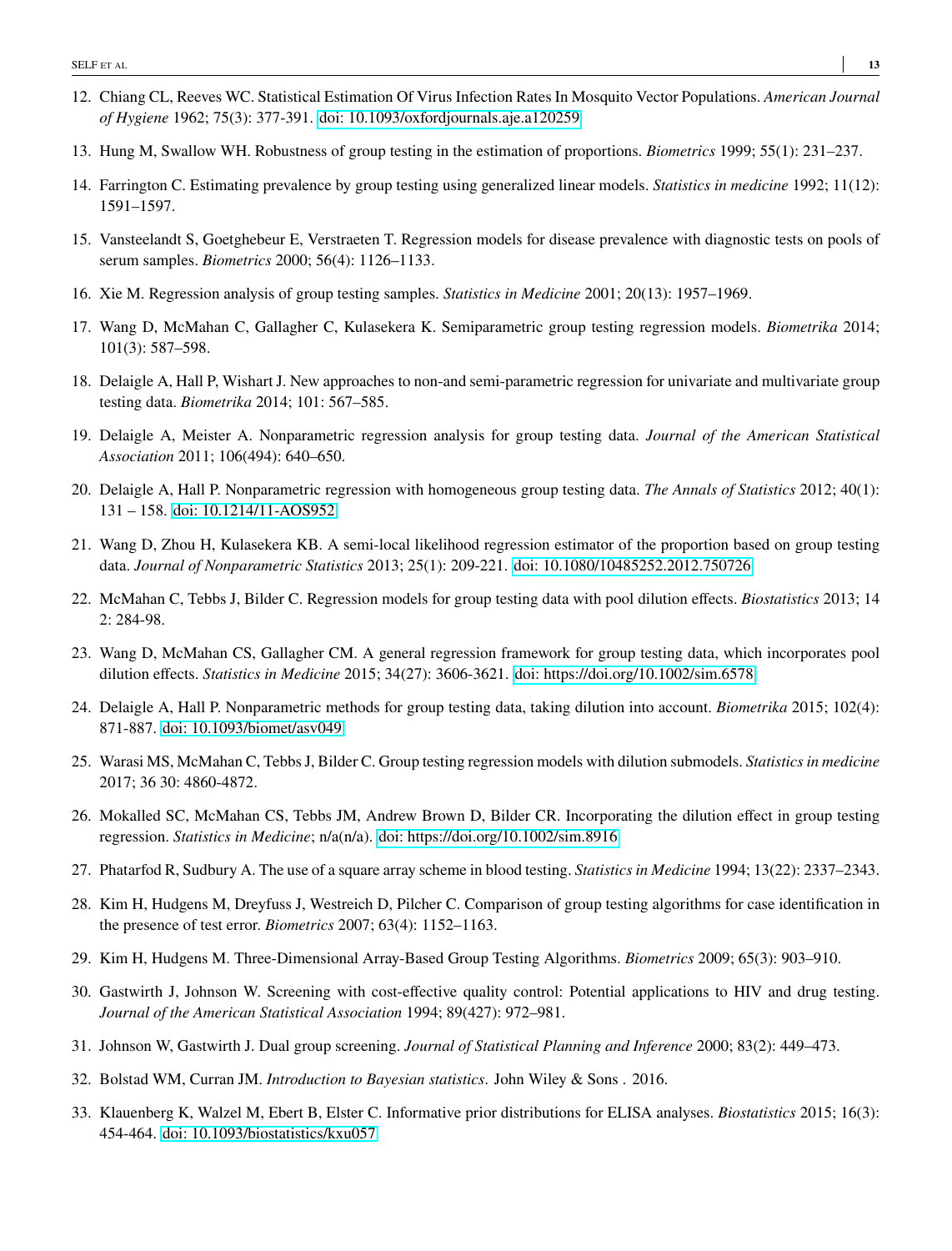- <span id="page-12-0"></span>12. Chiang CL, Reeves WC. Statistical Estimation Of Virus Infection Rates In Mosquito Vector Populations. *American Journal of Hygiene* 1962; 75(3): 377-391. [doi: 10.1093/oxfordjournals.aje.a120259](http://dx.doi.org/10.1093/oxfordjournals.aje.a120259)
- <span id="page-12-1"></span>13. Hung M, Swallow WH. Robustness of group testing in the estimation of proportions. *Biometrics* 1999; 55(1): 231–237.
- <span id="page-12-2"></span>14. Farrington C. Estimating prevalence by group testing using generalized linear models. *Statistics in medicine* 1992; 11(12): 1591–1597.
- <span id="page-12-3"></span>15. Vansteelandt S, Goetghebeur E, Verstraeten T. Regression models for disease prevalence with diagnostic tests on pools of serum samples. *Biometrics* 2000; 56(4): 1126–1133.
- <span id="page-12-4"></span>16. Xie M. Regression analysis of group testing samples. *Statistics in Medicine* 2001; 20(13): 1957–1969.
- <span id="page-12-5"></span>17. Wang D, McMahan C, Gallagher C, Kulasekera K. Semiparametric group testing regression models. *Biometrika* 2014; 101(3): 587–598.
- <span id="page-12-6"></span>18. Delaigle A, Hall P, Wishart J. New approaches to non-and semi-parametric regression for univariate and multivariate group testing data. *Biometrika* 2014; 101: 567–585.
- <span id="page-12-7"></span>19. Delaigle A, Meister A. Nonparametric regression analysis for group testing data. *Journal of the American Statistical Association* 2011; 106(494): 640–650.
- <span id="page-12-8"></span>20. Delaigle A, Hall P. Nonparametric regression with homogeneous group testing data. *The Annals of Statistics* 2012; 40(1): 131 – 158. [doi: 10.1214/11-AOS952](http://dx.doi.org/10.1214/11-AOS952)
- <span id="page-12-9"></span>21. Wang D, Zhou H, Kulasekera KB. A semi-local likelihood regression estimator of the proportion based on group testing data. *Journal of Nonparametric Statistics* 2013; 25(1): 209-221. [doi: 10.1080/10485252.2012.750726](http://dx.doi.org/10.1080/10485252.2012.750726)
- <span id="page-12-10"></span>22. McMahan C, Tebbs J, Bilder C. Regression models for group testing data with pool dilution effects. *Biostatistics* 2013; 14 2: 284-98.
- <span id="page-12-11"></span>23. Wang D, McMahan CS, Gallagher CM. A general regression framework for group testing data, which incorporates pool dilution effects. *Statistics in Medicine* 2015; 34(27): 3606-3621. [doi: https://doi.org/10.1002/sim.6578](http://dx.doi.org/https://doi.org/10.1002/sim.6578)
- <span id="page-12-12"></span>24. Delaigle A, Hall P. Nonparametric methods for group testing data, taking dilution into account. *Biometrika* 2015; 102(4): 871-887. [doi: 10.1093/biomet/asv049](http://dx.doi.org/10.1093/biomet/asv049)
- <span id="page-12-13"></span>25. Warasi MS, McMahan C, Tebbs J, Bilder C. Group testing regression models with dilution submodels. *Statistics in medicine* 2017; 36 30: 4860-4872.
- <span id="page-12-14"></span>26. Mokalled SC, McMahan CS, Tebbs JM, Andrew Brown D, Bilder CR. Incorporating the dilution effect in group testing regression. *Statistics in Medicine*; n/a(n/a). [doi: https://doi.org/10.1002/sim.8916](http://dx.doi.org/https://doi.org/10.1002/sim.8916)
- <span id="page-12-15"></span>27. Phatarfod R, Sudbury A. The use of a square array scheme in blood testing. *Statistics in Medicine* 1994; 13(22): 2337–2343.
- <span id="page-12-16"></span>28. Kim H, Hudgens M, Dreyfuss J, Westreich D, Pilcher C. Comparison of group testing algorithms for case identification in the presence of test error. *Biometrics* 2007; 63(4): 1152–1163.
- <span id="page-12-17"></span>29. Kim H, Hudgens M. Three-Dimensional Array-Based Group Testing Algorithms. *Biometrics* 2009; 65(3): 903–910.
- <span id="page-12-18"></span>30. Gastwirth J, Johnson W. Screening with cost-effective quality control: Potential applications to HIV and drug testing. *Journal of the American Statistical Association* 1994; 89(427): 972–981.
- <span id="page-12-19"></span>31. Johnson W, Gastwirth J. Dual group screening. *Journal of Statistical Planning and Inference* 2000; 83(2): 449–473.
- <span id="page-12-20"></span>32. Bolstad WM, Curran JM. *Introduction to Bayesian statistics*. John Wiley & Sons . 2016.
- <span id="page-12-21"></span>33. Klauenberg K, Walzel M, Ebert B, Elster C. Informative prior distributions for ELISA analyses. *Biostatistics* 2015; 16(3): 454-464. [doi: 10.1093/biostatistics/kxu057](http://dx.doi.org/10.1093/biostatistics/kxu057)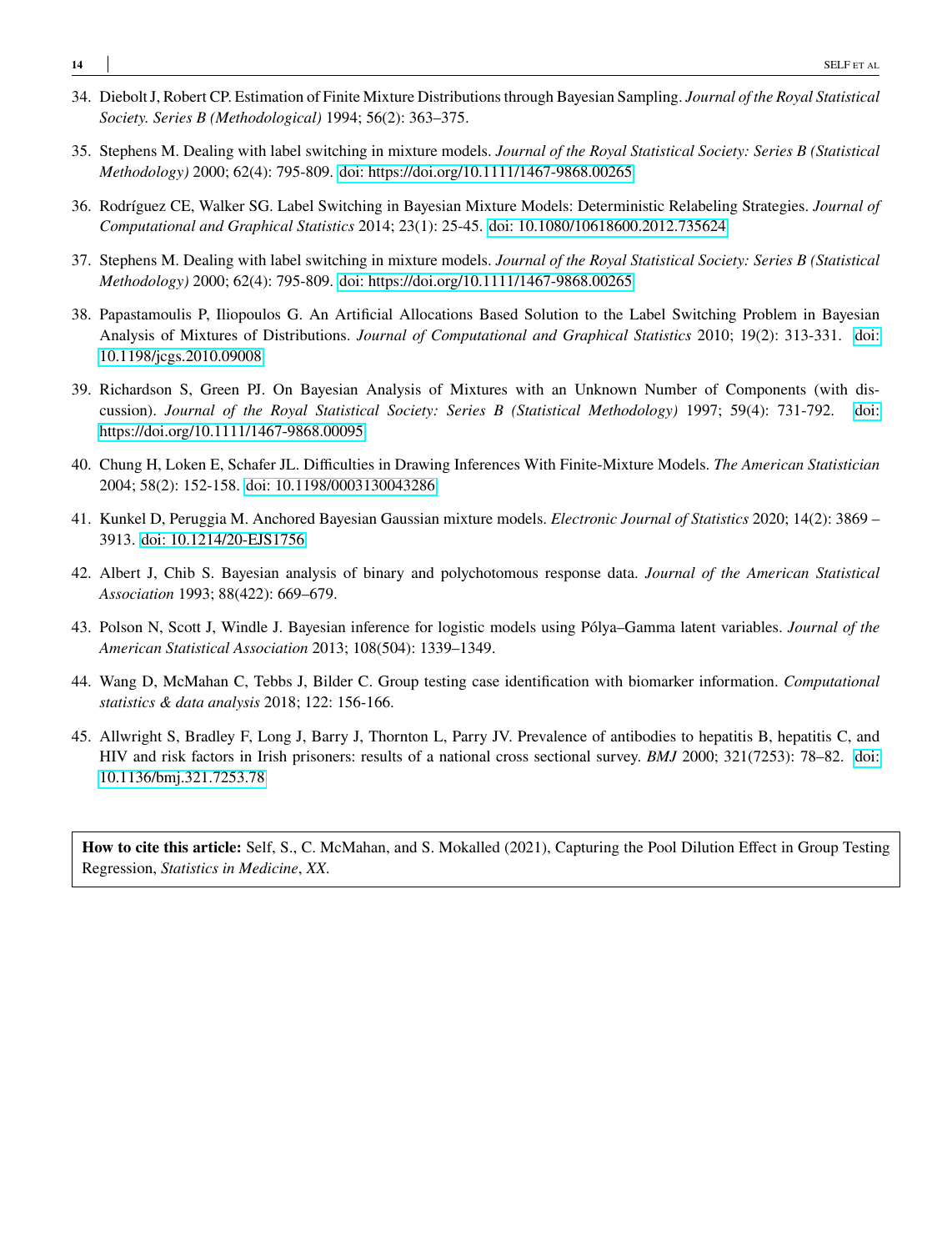- <span id="page-13-0"></span>34. Diebolt J, Robert CP. Estimation of Finite Mixture Distributions through Bayesian Sampling. *Journal of the Royal Statistical Society. Series B (Methodological)* 1994; 56(2): 363–375.
- <span id="page-13-1"></span>35. Stephens M. Dealing with label switching in mixture models. *Journal of the Royal Statistical Society: Series B (Statistical Methodology)* 2000; 62(4): 795-809. [doi: https://doi.org/10.1111/1467-9868.00265](http://dx.doi.org/https://doi.org/10.1111/1467-9868.00265)
- <span id="page-13-2"></span>36. Rodríguez CE, Walker SG. Label Switching in Bayesian Mixture Models: Deterministic Relabeling Strategies. *Journal of Computational and Graphical Statistics* 2014; 23(1): 25-45. [doi: 10.1080/10618600.2012.735624](http://dx.doi.org/10.1080/10618600.2012.735624)
- <span id="page-13-3"></span>37. Stephens M. Dealing with label switching in mixture models. *Journal of the Royal Statistical Society: Series B (Statistical Methodology)* 2000; 62(4): 795-809. [doi: https://doi.org/10.1111/1467-9868.00265](http://dx.doi.org/https://doi.org/10.1111/1467-9868.00265)
- <span id="page-13-4"></span>38. Papastamoulis P, Iliopoulos G. An Artificial Allocations Based Solution to the Label Switching Problem in Bayesian Analysis of Mixtures of Distributions. *Journal of Computational and Graphical Statistics* 2010; 19(2): 313-331. [doi:](http://dx.doi.org/10.1198/jcgs.2010.09008) [10.1198/jcgs.2010.09008](http://dx.doi.org/10.1198/jcgs.2010.09008)
- <span id="page-13-5"></span>39. Richardson S, Green PJ. On Bayesian Analysis of Mixtures with an Unknown Number of Components (with discussion). *Journal of the Royal Statistical Society: Series B (Statistical Methodology)* 1997; 59(4): 731-792. [doi:](http://dx.doi.org/https://doi.org/10.1111/1467-9868.00095) [https://doi.org/10.1111/1467-9868.00095](http://dx.doi.org/https://doi.org/10.1111/1467-9868.00095)
- <span id="page-13-6"></span>40. Chung H, Loken E, Schafer JL. Difficulties in Drawing Inferences With Finite-Mixture Models. *The American Statistician* 2004; 58(2): 152-158. [doi: 10.1198/0003130043286](http://dx.doi.org/10.1198/0003130043286)
- <span id="page-13-7"></span>41. Kunkel D, Peruggia M. Anchored Bayesian Gaussian mixture models. *Electronic Journal of Statistics* 2020; 14(2): 3869 – 3913. [doi: 10.1214/20-EJS1756](http://dx.doi.org/10.1214/20-EJS1756)
- <span id="page-13-8"></span>42. Albert J, Chib S. Bayesian analysis of binary and polychotomous response data. *Journal of the American Statistical Association* 1993; 88(422): 669–679.
- <span id="page-13-9"></span>43. Polson N, Scott J, Windle J. Bayesian inference for logistic models using Pólya–Gamma latent variables. *Journal of the American Statistical Association* 2013; 108(504): 1339–1349.
- <span id="page-13-10"></span>44. Wang D, McMahan C, Tebbs J, Bilder C. Group testing case identification with biomarker information. *Computational statistics & data analysis* 2018; 122: 156-166.
- <span id="page-13-11"></span>45. Allwright S, Bradley F, Long J, Barry J, Thornton L, Parry JV. Prevalence of antibodies to hepatitis B, hepatitis C, and HIV and risk factors in Irish prisoners: results of a national cross sectional survey. *BMJ* 2000; 321(7253): 78–82. [doi:](http://dx.doi.org/10.1136/bmj.321.7253.78) [10.1136/bmj.321.7253.78](http://dx.doi.org/10.1136/bmj.321.7253.78)

**How to cite this article:** Self, S., C. McMahan, and S. Mokalled (2021), Capturing the Pool Dilution Effect in Group Testing Regression, *Statistics in Medicine*, *XX*.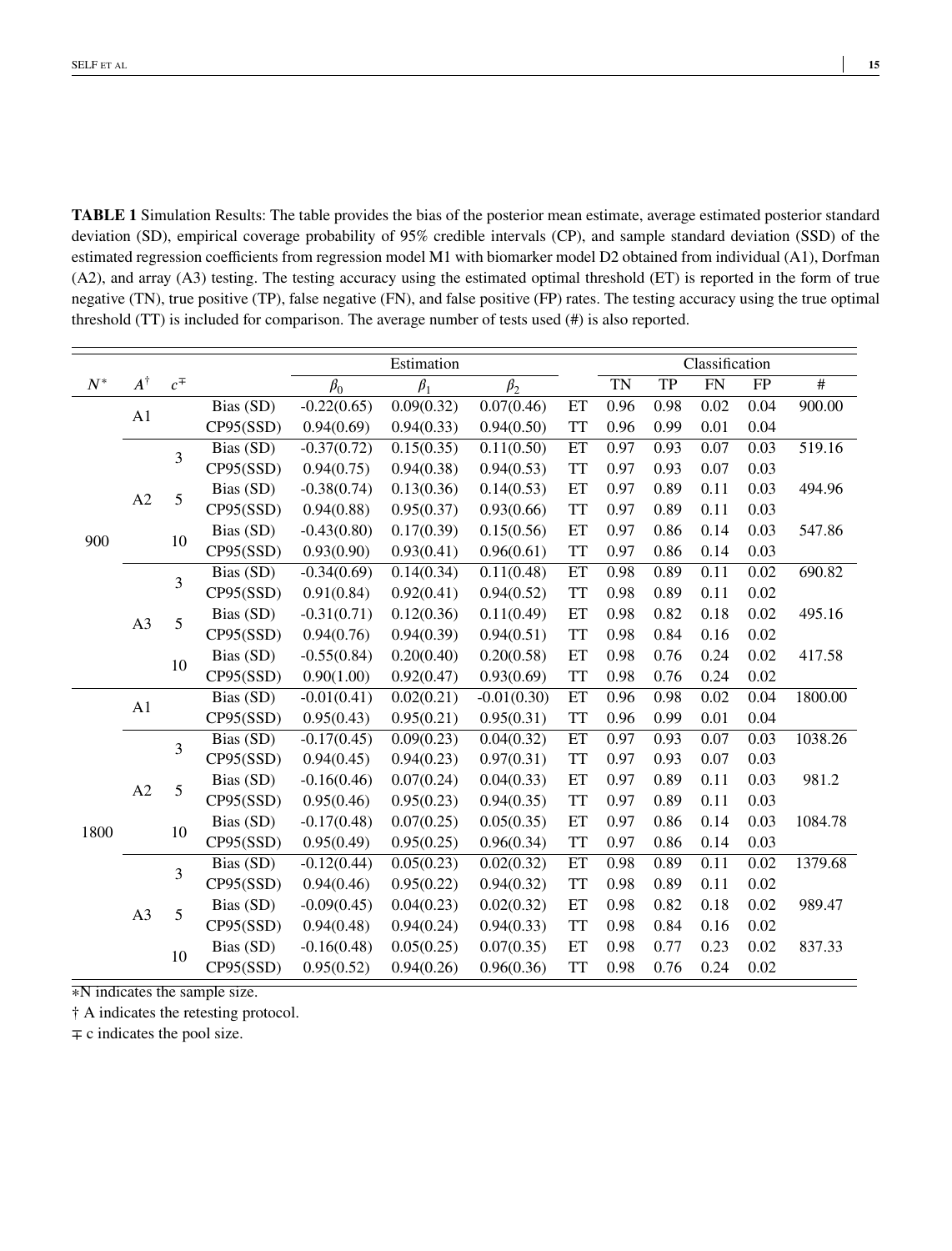<span id="page-14-0"></span>**TABLE 1** Simulation Results: The table provides the bias of the posterior mean estimate, average estimated posterior standard deviation (SD), empirical coverage probability of 95% credible intervals (CP), and sample standard deviation (SSD) of the estimated regression coefficients from regression model M1 with biomarker model D2 obtained from individual (A1), Dorfman (A2), and array (A3) testing. The testing accuracy using the estimated optimal threshold (ET) is reported in the form of true negative (TN), true positive (TP), false negative (FN), and false positive (FP) rates. The testing accuracy using the true optimal threshold (TT) is included for comparison. The average number of tests used (#) is also reported.

|       |                |           |           | Estimation    |            |               |           |           | Classification |                   |      |                 |  |  |
|-------|----------------|-----------|-----------|---------------|------------|---------------|-----------|-----------|----------------|-------------------|------|-----------------|--|--|
| $N^*$ | $A^\dagger$    | $c^{\mp}$ |           | $\beta_0$     | $\beta_1$  | $\beta_2$     |           | <b>TN</b> | TP             | FN                | FP   | $\overline{\#}$ |  |  |
| 900   |                |           | Bias (SD) | $-0.22(0.65)$ | 0.09(0.32) | 0.07(0.46)    | ET        | 0.96      | 0.98           | 0.02              | 0.04 | 900.00          |  |  |
|       | A1             |           | CP95(SSD) | 0.94(0.69)    | 0.94(0.33) | 0.94(0.50)    | <b>TT</b> | 0.96      | 0.99           | 0.01              | 0.04 |                 |  |  |
|       | A2             | 3         | Bias (SD) | $-0.37(0.72)$ | 0.15(0.35) | 0.11(0.50)    | ET        | 0.97      | 0.93           | 0.07              | 0.03 | 519.16          |  |  |
|       |                |           | CP95(SSD) | 0.94(0.75)    | 0.94(0.38) | 0.94(0.53)    | <b>TT</b> | 0.97      | 0.93           | 0.07              | 0.03 |                 |  |  |
|       |                | 5         | Bias (SD) | $-0.38(0.74)$ | 0.13(0.36) | 0.14(0.53)    | ET        | 0.97      | 0.89           | 0.11              | 0.03 | 494.96          |  |  |
|       |                |           | CP95(SSD) | 0.94(0.88)    | 0.95(0.37) | 0.93(0.66)    | <b>TT</b> | 0.97      | 0.89           | 0.11              | 0.03 |                 |  |  |
|       |                | 10        | Bias (SD) | $-0.43(0.80)$ | 0.17(0.39) | 0.15(0.56)    | ET        | 0.97      | 0.86           | 0.14              | 0.03 | 547.86          |  |  |
|       |                |           | CP95(SSD) | 0.93(0.90)    | 0.93(0.41) | 0.96(0.61)    | <b>TT</b> | 0.97      | 0.86           | 0.14              | 0.03 |                 |  |  |
|       | A <sub>3</sub> | 3         | Bias (SD) | $-0.34(0.69)$ | 0.14(0.34) | 0.11(0.48)    | ET        | 0.98      | 0.89           | $\overline{0.11}$ | 0.02 | 690.82          |  |  |
|       |                |           | CP95(SSD) | 0.91(0.84)    | 0.92(0.41) | 0.94(0.52)    | <b>TT</b> | 0.98      | 0.89           | 0.11              | 0.02 |                 |  |  |
|       |                | 5         | Bias (SD) | $-0.31(0.71)$ | 0.12(0.36) | 0.11(0.49)    | ET        | 0.98      | 0.82           | 0.18              | 0.02 | 495.16          |  |  |
|       |                |           | CP95(SSD) | 0.94(0.76)    | 0.94(0.39) | 0.94(0.51)    | <b>TT</b> | 0.98      | 0.84           | 0.16              | 0.02 |                 |  |  |
|       |                | 10        | Bias (SD) | $-0.55(0.84)$ | 0.20(0.40) | 0.20(0.58)    | ET        | 0.98      | 0.76           | 0.24              | 0.02 | 417.58          |  |  |
|       |                |           | CP95(SSD) | 0.90(1.00)    | 0.92(0.47) | 0.93(0.69)    | <b>TT</b> | 0.98      | 0.76           | 0.24              | 0.02 |                 |  |  |
| 1800  | A1             |           | Bias (SD) | $-0.01(0.41)$ | 0.02(0.21) | $-0.01(0.30)$ | ET        | 0.96      | 0.98           | 0.02              | 0.04 | 1800.00         |  |  |
|       |                |           | CP95(SSD) | 0.95(0.43)    | 0.95(0.21) | 0.95(0.31)    | <b>TT</b> | 0.96      | 0.99           | 0.01              | 0.04 |                 |  |  |
|       | A2             | 3         | Bias (SD) | $-0.17(0.45)$ | 0.09(0.23) | 0.04(0.32)    | ET        | 0.97      | 0.93           | 0.07              | 0.03 | 1038.26         |  |  |
|       |                |           | CP95(SSD) | 0.94(0.45)    | 0.94(0.23) | 0.97(0.31)    | <b>TT</b> | 0.97      | 0.93           | 0.07              | 0.03 |                 |  |  |
|       |                | 5         | Bias (SD) | $-0.16(0.46)$ | 0.07(0.24) | 0.04(0.33)    | ET        | 0.97      | 0.89           | 0.11              | 0.03 | 981.2           |  |  |
|       |                |           | CP95(SSD) | 0.95(0.46)    | 0.95(0.23) | 0.94(0.35)    | <b>TT</b> | 0.97      | 0.89           | 0.11              | 0.03 |                 |  |  |
|       |                | 10        | Bias (SD) | $-0.17(0.48)$ | 0.07(0.25) | 0.05(0.35)    | ET        | 0.97      | 0.86           | 0.14              | 0.03 | 1084.78         |  |  |
|       |                |           | CP95(SSD) | 0.95(0.49)    | 0.95(0.25) | 0.96(0.34)    | <b>TT</b> | 0.97      | 0.86           | 0.14              | 0.03 |                 |  |  |
|       | A <sub>3</sub> | 3         | Bias (SD) | $-0.12(0.44)$ | 0.05(0.23) | 0.02(0.32)    | ET        | 0.98      | 0.89           | $\overline{0.11}$ | 0.02 | 1379.68         |  |  |
|       |                |           | CP95(SSD) | 0.94(0.46)    | 0.95(0.22) | 0.94(0.32)    | <b>TT</b> | 0.98      | 0.89           | 0.11              | 0.02 |                 |  |  |
|       |                | 5         | Bias (SD) | $-0.09(0.45)$ | 0.04(0.23) | 0.02(0.32)    | ET        | 0.98      | 0.82           | 0.18              | 0.02 | 989.47          |  |  |
|       |                |           | CP95(SSD) | 0.94(0.48)    | 0.94(0.24) | 0.94(0.33)    | <b>TT</b> | 0.98      | 0.84           | 0.16              | 0.02 |                 |  |  |
|       |                | 10        | Bias (SD) | $-0.16(0.48)$ | 0.05(0.25) | 0.07(0.35)    | ET        | 0.98      | 0.77           | 0.23              | 0.02 | 837.33          |  |  |
|       |                |           | CP95(SSD) | 0.95(0.52)    | 0.94(0.26) | 0.96(0.36)    | <b>TT</b> | 0.98      | 0.76           | 0.24              | 0.02 |                 |  |  |

∗N indicates the sample size.

† A indicates the retesting protocol.

 $\mp$  c indicates the pool size.